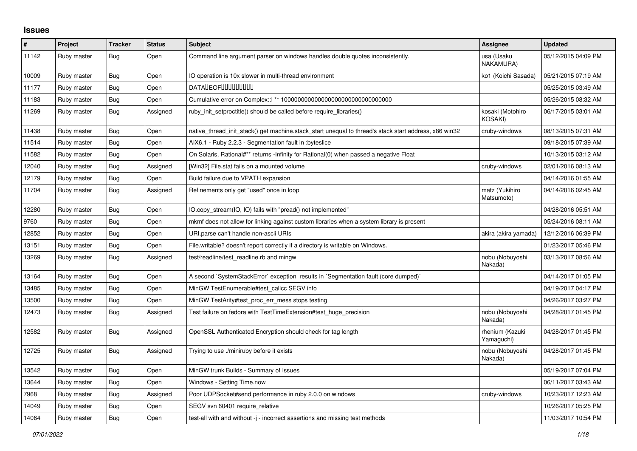## **Issues**

| ∦     | Project     | <b>Tracker</b> | <b>Status</b> | <b>Subject</b>                                                                                        | Assignee                      | <b>Updated</b>      |
|-------|-------------|----------------|---------------|-------------------------------------------------------------------------------------------------------|-------------------------------|---------------------|
| 11142 | Ruby master | Bug            | Open          | Command line argument parser on windows handles double quotes inconsistently.                         | usa (Usaku<br>NAKAMURA)       | 05/12/2015 04:09 PM |
| 10009 | Ruby master | Bug            | Open          | IO operation is 10x slower in multi-thread environment                                                | ko1 (Koichi Sasada)           | 05/21/2015 07:19 AM |
| 11177 | Ruby master | <b>Bug</b>     | Open          | <b>DATALEOFILILILILILILI</b>                                                                          |                               | 05/25/2015 03:49 AM |
| 11183 | Ruby master | <b>Bug</b>     | Open          |                                                                                                       |                               | 05/26/2015 08:32 AM |
| 11269 | Ruby master | <b>Bug</b>     | Assigned      | ruby_init_setproctitle() should be called before require_libraries()                                  | kosaki (Motohiro<br>KOSAKI)   | 06/17/2015 03:01 AM |
| 11438 | Ruby master | <b>Bug</b>     | Open          | native_thread_init_stack() get machine.stack_start unequal to thread's stack start address, x86 win32 | cruby-windows                 | 08/13/2015 07:31 AM |
| 11514 | Ruby master | Bug            | Open          | AIX6.1 - Ruby 2.2.3 - Segmentation fault in :byteslice                                                |                               | 09/18/2015 07:39 AM |
| 11582 | Ruby master | Bug            | Open          | On Solaris, Rational#** returns -Infinity for Rational(0) when passed a negative Float                |                               | 10/13/2015 03:12 AM |
| 12040 | Ruby master | Bug            | Assigned      | [Win32] File.stat fails on a mounted volume                                                           | cruby-windows                 | 02/01/2016 08:13 AM |
| 12179 | Ruby master | <b>Bug</b>     | Open          | Build failure due to VPATH expansion                                                                  |                               | 04/14/2016 01:55 AM |
| 11704 | Ruby master | <b>Bug</b>     | Assigned      | Refinements only get "used" once in loop                                                              | matz (Yukihiro<br>Matsumoto)  | 04/14/2016 02:45 AM |
| 12280 | Ruby master | Bug            | Open          | IO.copy stream(IO, IO) fails with "pread() not implemented"                                           |                               | 04/28/2016 05:51 AM |
| 9760  | Ruby master | <b>Bug</b>     | Open          | mkmf does not allow for linking against custom libraries when a system library is present             |                               | 05/24/2016 08:11 AM |
| 12852 | Ruby master | <b>Bug</b>     | Open          | URI.parse can't handle non-ascii URIs                                                                 | akira (akira yamada)          | 12/12/2016 06:39 PM |
| 13151 | Ruby master | <b>Bug</b>     | Open          | File.writable? doesn't report correctly if a directory is writable on Windows.                        |                               | 01/23/2017 05:46 PM |
| 13269 | Ruby master | Bug            | Assigned      | test/readline/test readline.rb and mingw                                                              | nobu (Nobuyoshi<br>Nakada)    | 03/13/2017 08:56 AM |
| 13164 | Ruby master | <b>Bug</b>     | Open          | A second `SystemStackError` exception results in `Segmentation fault (core dumped)`                   |                               | 04/14/2017 01:05 PM |
| 13485 | Ruby master | Bug            | Open          | MinGW TestEnumerable#test callcc SEGV info                                                            |                               | 04/19/2017 04:17 PM |
| 13500 | Ruby master | Bug            | Open          | MinGW TestArity#test_proc_err_mess stops testing                                                      |                               | 04/26/2017 03:27 PM |
| 12473 | Ruby master | <b>Bug</b>     | Assigned      | Test failure on fedora with TestTimeExtension#test_huge_precision                                     | nobu (Nobuyoshi<br>Nakada)    | 04/28/2017 01:45 PM |
| 12582 | Ruby master | Bug            | Assigned      | OpenSSL Authenticated Encryption should check for tag length                                          | rhenium (Kazuki<br>Yamaguchi) | 04/28/2017 01:45 PM |
| 12725 | Ruby master | Bug            | Assigned      | Trying to use ./miniruby before it exists                                                             | nobu (Nobuyoshi<br>Nakada)    | 04/28/2017 01:45 PM |
| 13542 | Ruby master | <b>Bug</b>     | Open          | MinGW trunk Builds - Summary of Issues                                                                |                               | 05/19/2017 07:04 PM |
| 13644 | Ruby master | Bug            | Open          | Windows - Setting Time.now                                                                            |                               | 06/11/2017 03:43 AM |
| 7968  | Ruby master | <b>Bug</b>     | Assigned      | Poor UDPSocket#send performance in ruby 2.0.0 on windows                                              | cruby-windows                 | 10/23/2017 12:23 AM |
| 14049 | Ruby master | Bug            | Open          | SEGV svn 60401 require relative                                                                       |                               | 10/26/2017 05:25 PM |
| 14064 | Ruby master | Bug            | Open          | test-all with and without -j - incorrect assertions and missing test methods                          |                               | 11/03/2017 10:54 PM |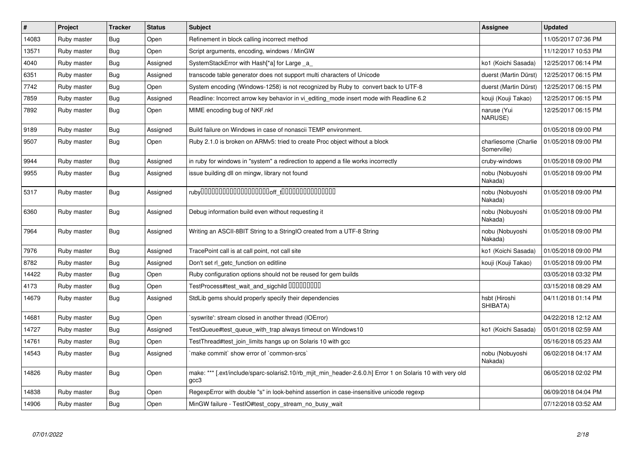| #     | Project     | <b>Tracker</b> | <b>Status</b> | <b>Subject</b>                                                                                                    | <b>Assignee</b>                     | <b>Updated</b>      |
|-------|-------------|----------------|---------------|-------------------------------------------------------------------------------------------------------------------|-------------------------------------|---------------------|
| 14083 | Ruby master | Bug            | Open          | Refinement in block calling incorrect method                                                                      |                                     | 11/05/2017 07:36 PM |
| 13571 | Ruby master | Bug            | Open          | Script arguments, encoding, windows / MinGW                                                                       |                                     | 11/12/2017 10:53 PM |
| 4040  | Ruby master | Bug            | Assigned      | SystemStackError with Hash[*a] for Large _a_                                                                      | ko1 (Koichi Sasada)                 | 12/25/2017 06:14 PM |
| 6351  | Ruby master | Bug            | Assigned      | transcode table generator does not support multi characters of Unicode                                            | duerst (Martin Dürst)               | 12/25/2017 06:15 PM |
| 7742  | Ruby master | Bug            | Open          | System encoding (Windows-1258) is not recognized by Ruby to convert back to UTF-8                                 | duerst (Martin Dürst)               | 12/25/2017 06:15 PM |
| 7859  | Ruby master | Bug            | Assigned      | Readline: Incorrect arrow key behavior in vi editing mode insert mode with Readline 6.2                           | kouji (Kouji Takao)                 | 12/25/2017 06:15 PM |
| 7892  | Ruby master | Bug            | Open          | MIME encoding bug of NKF.nkf                                                                                      | naruse (Yui<br>NARUSE)              | 12/25/2017 06:15 PM |
| 9189  | Ruby master | Bug            | Assigned      | Build failure on Windows in case of nonascii TEMP environment.                                                    |                                     | 01/05/2018 09:00 PM |
| 9507  | Ruby master | <b>Bug</b>     | Open          | Ruby 2.1.0 is broken on ARMv5: tried to create Proc object without a block                                        | charliesome (Charlie<br>Somerville) | 01/05/2018 09:00 PM |
| 9944  | Ruby master | Bug            | Assigned      | in ruby for windows in "system" a redirection to append a file works incorrectly                                  | cruby-windows                       | 01/05/2018 09:00 PM |
| 9955  | Ruby master | Bug            | Assigned      | issue building dll on mingw, library not found                                                                    | nobu (Nobuyoshi<br>Nakada)          | 01/05/2018 09:00 PM |
| 5317  | Ruby master | Bug            | Assigned      |                                                                                                                   | nobu (Nobuyoshi<br>Nakada)          | 01/05/2018 09:00 PM |
| 6360  | Ruby master | Bug            | Assigned      | Debug information build even without requesting it                                                                | nobu (Nobuyoshi<br>Nakada)          | 01/05/2018 09:00 PM |
| 7964  | Ruby master | Bug            | Assigned      | Writing an ASCII-8BIT String to a StringIO created from a UTF-8 String                                            | nobu (Nobuyoshi<br>Nakada)          | 01/05/2018 09:00 PM |
| 7976  | Ruby master | Bug            | Assigned      | TracePoint call is at call point, not call site                                                                   | ko1 (Koichi Sasada)                 | 01/05/2018 09:00 PM |
| 8782  | Ruby master | Bug            | Assigned      | Don't set rl getc function on editline                                                                            | kouji (Kouji Takao)                 | 01/05/2018 09:00 PM |
| 14422 | Ruby master | Bug            | Open          | Ruby configuration options should not be reused for gem builds                                                    |                                     | 03/05/2018 03:32 PM |
| 4173  | Ruby master | <b>Bug</b>     | Open          | TestProcess#test_wait_and_sigchild DDDDDDDD                                                                       |                                     | 03/15/2018 08:29 AM |
| 14679 | Ruby master | Bug            | Assigned      | StdLib gems should properly specify their dependencies                                                            | hsbt (Hiroshi<br>SHIBATA)           | 04/11/2018 01:14 PM |
| 14681 | Ruby master | Bug            | Open          | syswrite': stream closed in another thread (IOError)                                                              |                                     | 04/22/2018 12:12 AM |
| 14727 | Ruby master | Bug            | Assigned      | TestQueue#test queue with trap always timeout on Windows10                                                        | ko1 (Koichi Sasada)                 | 05/01/2018 02:59 AM |
| 14761 | Ruby master | <b>Bug</b>     | Open          | TestThread#test join limits hangs up on Solaris 10 with gcc                                                       |                                     | 05/16/2018 05:23 AM |
| 14543 | Ruby master | Bug            | Assigned      | 'make commit' show error of 'common-srcs'                                                                         | nobu (Nobuyoshi<br>Nakada)          | 06/02/2018 04:17 AM |
| 14826 | Ruby master | Bug            | Open          | make: *** [.ext/include/sparc-solaris2.10/rb_mjit_min_header-2.6.0.h] Error 1 on Solaris 10 with very old<br>gcc3 |                                     | 06/05/2018 02:02 PM |
| 14838 | Ruby master | <b>Bug</b>     | Open          | RegexpError with double "s" in look-behind assertion in case-insensitive unicode regexp                           |                                     | 06/09/2018 04:04 PM |
| 14906 | Ruby master | <b>Bug</b>     | Open          | MinGW failure - TestIO#test copy stream no busy wait                                                              |                                     | 07/12/2018 03:52 AM |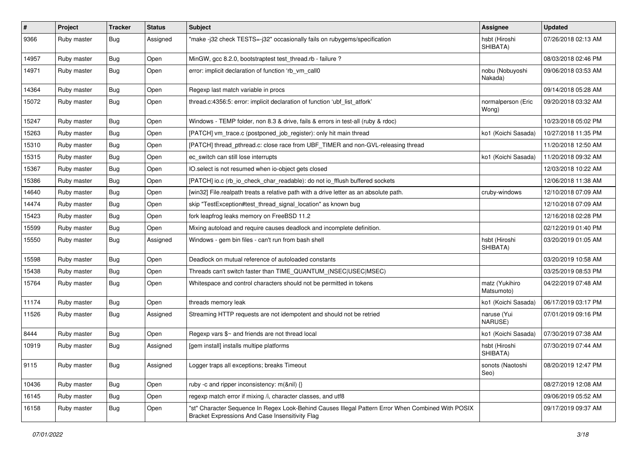| $\vert$ # | Project     | <b>Tracker</b> | <b>Status</b> | Subject                                                                                                                                               | <b>Assignee</b>              | <b>Updated</b>      |
|-----------|-------------|----------------|---------------|-------------------------------------------------------------------------------------------------------------------------------------------------------|------------------------------|---------------------|
| 9366      | Ruby master | Bug            | Assigned      | "make -j32 check TESTS=-j32" occasionally fails on rubygems/specification                                                                             | hsbt (Hiroshi<br>SHIBATA)    | 07/26/2018 02:13 AM |
| 14957     | Ruby master | Bug            | Open          | MinGW, gcc 8.2.0, bootstraptest test_thread.rb - failure ?                                                                                            |                              | 08/03/2018 02:46 PM |
| 14971     | Ruby master | <b>Bug</b>     | Open          | error: implicit declaration of function 'rb_vm_call0                                                                                                  | nobu (Nobuyoshi<br>Nakada)   | 09/06/2018 03:53 AM |
| 14364     | Ruby master | Bug            | Open          | Regexp last match variable in procs                                                                                                                   |                              | 09/14/2018 05:28 AM |
| 15072     | Ruby master | Bug            | Open          | thread.c:4356:5: error: implicit declaration of function 'ubf_list_atfork'                                                                            | normalperson (Eric<br>Wong)  | 09/20/2018 03:32 AM |
| 15247     | Ruby master | Bug            | Open          | Windows - TEMP folder, non 8.3 & drive, fails & errors in test-all (ruby & rdoc)                                                                      |                              | 10/23/2018 05:02 PM |
| 15263     | Ruby master | <b>Bug</b>     | Open          | [PATCH] vm_trace.c (postponed_job_register): only hit main thread                                                                                     | ko1 (Koichi Sasada)          | 10/27/2018 11:35 PM |
| 15310     | Ruby master | Bug            | Open          | [PATCH] thread_pthread.c: close race from UBF_TIMER and non-GVL-releasing thread                                                                      |                              | 11/20/2018 12:50 AM |
| 15315     | Ruby master | <b>Bug</b>     | Open          | ec_switch can still lose interrupts                                                                                                                   | ko1 (Koichi Sasada)          | 11/20/2018 09:32 AM |
| 15367     | Ruby master | Bug            | Open          | IO.select is not resumed when io-object gets closed                                                                                                   |                              | 12/03/2018 10:22 AM |
| 15386     | Ruby master | Bug            | Open          | [PATCH] io.c (rb_io_check_char_readable): do not io_fflush buffered sockets                                                                           |                              | 12/06/2018 11:38 AM |
| 14640     | Ruby master | <b>Bug</b>     | Open          | [win32] File.realpath treats a relative path with a drive letter as an absolute path.                                                                 | cruby-windows                | 12/10/2018 07:09 AM |
| 14474     | Ruby master | <b>Bug</b>     | Open          | skip "TestException#test_thread_signal_location" as known bug                                                                                         |                              | 12/10/2018 07:09 AM |
| 15423     | Ruby master | <b>Bug</b>     | Open          | fork leapfrog leaks memory on FreeBSD 11.2                                                                                                            |                              | 12/16/2018 02:28 PM |
| 15599     | Ruby master | Bug            | Open          | Mixing autoload and require causes deadlock and incomplete definition.                                                                                |                              | 02/12/2019 01:40 PM |
| 15550     | Ruby master | Bug            | Assigned      | Windows - gem bin files - can't run from bash shell                                                                                                   | hsbt (Hiroshi<br>SHIBATA)    | 03/20/2019 01:05 AM |
| 15598     | Ruby master | <b>Bug</b>     | Open          | Deadlock on mutual reference of autoloaded constants                                                                                                  |                              | 03/20/2019 10:58 AM |
| 15438     | Ruby master | Bug            | Open          | Threads can't switch faster than TIME_QUANTUM_(NSEC USEC MSEC)                                                                                        |                              | 03/25/2019 08:53 PM |
| 15764     | Ruby master | Bug            | Open          | Whitespace and control characters should not be permitted in tokens                                                                                   | matz (Yukihiro<br>Matsumoto) | 04/22/2019 07:48 AM |
| 11174     | Ruby master | Bug            | Open          | threads memory leak                                                                                                                                   | ko1 (Koichi Sasada)          | 06/17/2019 03:17 PM |
| 11526     | Ruby master | Bug            | Assigned      | Streaming HTTP requests are not idempotent and should not be retried                                                                                  | naruse (Yui<br>NARUSE)       | 07/01/2019 09:16 PM |
| 8444      | Ruby master | <b>Bug</b>     | Open          | Regexp vars \$~ and friends are not thread local                                                                                                      | ko1 (Koichi Sasada)          | 07/30/2019 07:38 AM |
| 10919     | Ruby master | <b>Bug</b>     | Assigned      | [gem install] installs multipe platforms                                                                                                              | hsbt (Hiroshi<br>SHIBATA)    | 07/30/2019 07:44 AM |
| 9115      | Ruby master | <b>Bug</b>     | Assigned      | Logger traps all exceptions; breaks Timeout                                                                                                           | sonots (Naotoshi<br>Seo)     | 08/20/2019 12:47 PM |
| 10436     | Ruby master | <b>Bug</b>     | Open          | ruby -c and ripper inconsistency: m(&nil) {}                                                                                                          |                              | 08/27/2019 12:08 AM |
| 16145     | Ruby master | Bug            | Open          | regexp match error if mixing /i, character classes, and utf8                                                                                          |                              | 09/06/2019 05:52 AM |
| 16158     | Ruby master | <b>Bug</b>     | Open          | "st" Character Sequence In Regex Look-Behind Causes Illegal Pattern Error When Combined With POSIX<br>Bracket Expressions And Case Insensitivity Flag |                              | 09/17/2019 09:37 AM |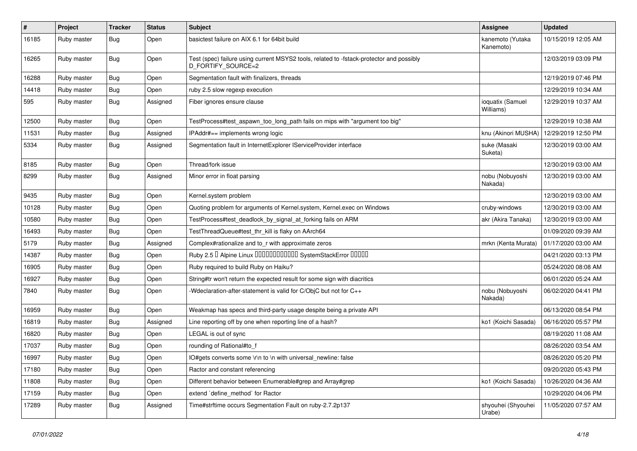| $\sharp$ | Project     | Tracker    | <b>Status</b> | Subject                                                                                                        | <b>Assignee</b>               | <b>Updated</b>      |
|----------|-------------|------------|---------------|----------------------------------------------------------------------------------------------------------------|-------------------------------|---------------------|
| 16185    | Ruby master | Bug        | Open          | basictest failure on AIX 6.1 for 64bit build                                                                   | kanemoto (Yutaka<br>Kanemoto) | 10/15/2019 12:05 AM |
| 16265    | Ruby master | Bug        | Open          | Test (spec) failure using current MSYS2 tools, related to -fstack-protector and possibly<br>D FORTIFY SOURCE=2 |                               | 12/03/2019 03:09 PM |
| 16288    | Ruby master | <b>Bug</b> | Open          | Segmentation fault with finalizers, threads                                                                    |                               | 12/19/2019 07:46 PM |
| 14418    | Ruby master | <b>Bug</b> | Open          | ruby 2.5 slow regexp execution                                                                                 |                               | 12/29/2019 10:34 AM |
| 595      | Ruby master | <b>Bug</b> | Assigned      | Fiber ignores ensure clause                                                                                    | ioquatix (Samuel<br>Williams) | 12/29/2019 10:37 AM |
| 12500    | Ruby master | <b>Bug</b> | Open          | TestProcess#test_aspawn_too_long_path fails on mips with "argument too big"                                    |                               | 12/29/2019 10:38 AM |
| 11531    | Ruby master | Bug        | Assigned      | IPAddr#== implements wrong logic                                                                               | knu (Akinori MUSHA)           | 12/29/2019 12:50 PM |
| 5334     | Ruby master | Bug        | Assigned      | Segmentation fault in InternetExplorer IServiceProvider interface                                              | suke (Masaki<br>Suketa)       | 12/30/2019 03:00 AM |
| 8185     | Ruby master | Bug        | Open          | Thread/fork issue                                                                                              |                               | 12/30/2019 03:00 AM |
| 8299     | Ruby master | <b>Bug</b> | Assigned      | Minor error in float parsing                                                                                   | nobu (Nobuyoshi<br>Nakada)    | 12/30/2019 03:00 AM |
| 9435     | Ruby master | <b>Bug</b> | Open          | Kernel.system problem                                                                                          |                               | 12/30/2019 03:00 AM |
| 10128    | Ruby master | <b>Bug</b> | Open          | Quoting problem for arguments of Kernel.system, Kernel.exec on Windows                                         | cruby-windows                 | 12/30/2019 03:00 AM |
| 10580    | Ruby master | <b>Bug</b> | Open          | TestProcess#test_deadlock_by_signal_at_forking fails on ARM                                                    | akr (Akira Tanaka)            | 12/30/2019 03:00 AM |
| 16493    | Ruby master | <b>Bug</b> | Open          | TestThreadQueue#test_thr_kill is flaky on AArch64                                                              |                               | 01/09/2020 09:39 AM |
| 5179     | Ruby master | <b>Bug</b> | Assigned      | Complex#rationalize and to_r with approximate zeros                                                            | mrkn (Kenta Murata)           | 01/17/2020 03:00 AM |
| 14387    | Ruby master | <b>Bug</b> | Open          | Ruby 2.5 <sup>D</sup> Alpine Linux <b>DDDDDDDDDDD</b> SystemStackError <b>DDDD</b>                             |                               | 04/21/2020 03:13 PM |
| 16905    | Ruby master | Bug        | Open          | Ruby required to build Ruby on Haiku?                                                                          |                               | 05/24/2020 08:08 AM |
| 16927    | Ruby master | <b>Bug</b> | Open          | String#tr won't return the expected result for some sign with diacritics                                       |                               | 06/01/2020 05:24 AM |
| 7840     | Ruby master | <b>Bug</b> | Open          | -Wdeclaration-after-statement is valid for C/ObjC but not for C++                                              | nobu (Nobuyoshi<br>Nakada)    | 06/02/2020 04:41 PM |
| 16959    | Ruby master | <b>Bug</b> | Open          | Weakmap has specs and third-party usage despite being a private API                                            |                               | 06/13/2020 08:54 PM |
| 16819    | Ruby master | Bug        | Assigned      | Line reporting off by one when reporting line of a hash?                                                       | ko1 (Koichi Sasada)           | 06/16/2020 05:57 PM |
| 16820    | Ruby master | <b>Bug</b> | Open          | LEGAL is out of sync                                                                                           |                               | 08/19/2020 11:08 AM |
| 17037    | Ruby master | <b>Bug</b> | Open          | rounding of Rational#to_f                                                                                      |                               | 08/26/2020 03:54 AM |
| 16997    | Ruby master | Bug        | Open          | IO#gets converts some \r\n to \n with universal newline: false                                                 |                               | 08/26/2020 05:20 PM |
| 17180    | Ruby master | <b>Bug</b> | Open          | Ractor and constant referencing                                                                                |                               | 09/20/2020 05:43 PM |
| 11808    | Ruby master | Bug        | Open          | Different behavior between Enumerable#grep and Array#grep                                                      | ko1 (Koichi Sasada)           | 10/26/2020 04:36 AM |
| 17159    | Ruby master | Bug        | Open          | extend 'define_method' for Ractor                                                                              |                               | 10/29/2020 04:06 PM |
| 17289    | Ruby master | Bug        | Assigned      | Time#strftime occurs Segmentation Fault on ruby-2.7.2p137                                                      | shyouhei (Shyouhei<br>Urabe)  | 11/05/2020 07:57 AM |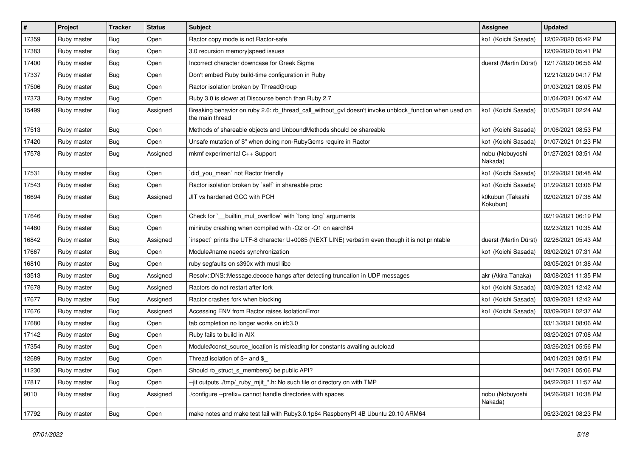| $\vert$ # | Project     | <b>Tracker</b> | <b>Status</b> | Subject                                                                                                                   | <b>Assignee</b>              | <b>Updated</b>      |
|-----------|-------------|----------------|---------------|---------------------------------------------------------------------------------------------------------------------------|------------------------------|---------------------|
| 17359     | Ruby master | Bug            | Open          | Ractor copy mode is not Ractor-safe                                                                                       | ko1 (Koichi Sasada)          | 12/02/2020 05:42 PM |
| 17383     | Ruby master | <b>Bug</b>     | Open          | 3.0 recursion memory speed issues                                                                                         |                              | 12/09/2020 05:41 PM |
| 17400     | Ruby master | <b>Bug</b>     | Open          | Incorrect character downcase for Greek Sigma                                                                              | duerst (Martin Dürst)        | 12/17/2020 06:56 AM |
| 17337     | Ruby master | <b>Bug</b>     | Open          | Don't embed Ruby build-time configuration in Ruby                                                                         |                              | 12/21/2020 04:17 PM |
| 17506     | Ruby master | <b>Bug</b>     | Open          | Ractor isolation broken by ThreadGroup                                                                                    |                              | 01/03/2021 08:05 PM |
| 17373     | Ruby master | <b>Bug</b>     | Open          | Ruby 3.0 is slower at Discourse bench than Ruby 2.7                                                                       |                              | 01/04/2021 06:47 AM |
| 15499     | Ruby master | <b>Bug</b>     | Assigned      | Breaking behavior on ruby 2.6: rb_thread_call_without_gvl doesn't invoke unblock_function when used on<br>the main thread | ko1 (Koichi Sasada)          | 01/05/2021 02:24 AM |
| 17513     | Ruby master | <b>Bug</b>     | Open          | Methods of shareable objects and UnboundMethods should be shareable                                                       | ko1 (Koichi Sasada)          | 01/06/2021 08:53 PM |
| 17420     | Ruby master | <b>Bug</b>     | Open          | Unsafe mutation of \$" when doing non-RubyGems require in Ractor                                                          | ko1 (Koichi Sasada)          | 01/07/2021 01:23 PM |
| 17578     | Ruby master | Bug            | Assigned      | mkmf experimental C++ Support                                                                                             | nobu (Nobuyoshi<br>Nakada)   | 01/27/2021 03:51 AM |
| 17531     | Ruby master | Bug            | Open          | `did_you_mean` not Ractor friendly                                                                                        | ko1 (Koichi Sasada)          | 01/29/2021 08:48 AM |
| 17543     | Ruby master | Bug            | Open          | Ractor isolation broken by 'self' in shareable proc                                                                       | ko1 (Koichi Sasada)          | 01/29/2021 03:06 PM |
| 16694     | Ruby master | <b>Bug</b>     | Assigned      | JIT vs hardened GCC with PCH                                                                                              | k0kubun (Takashi<br>Kokubun) | 02/02/2021 07:38 AM |
| 17646     | Ruby master | <b>Bug</b>     | Open          | Check for `__builtin_mul_overflow` with `long long` arguments                                                             |                              | 02/19/2021 06:19 PM |
| 14480     | Ruby master | <b>Bug</b>     | Open          | miniruby crashing when compiled with -O2 or -O1 on aarch64                                                                |                              | 02/23/2021 10:35 AM |
| 16842     | Ruby master | <b>Bug</b>     | Assigned      | inspect` prints the UTF-8 character U+0085 (NEXT LINE) verbatim even though it is not printable                           | duerst (Martin Dürst)        | 02/26/2021 05:43 AM |
| 17667     | Ruby master | Bug            | Open          | Module#name needs synchronization                                                                                         | ko1 (Koichi Sasada)          | 03/02/2021 07:31 AM |
| 16810     | Ruby master | <b>Bug</b>     | Open          | ruby segfaults on s390x with musl libc                                                                                    |                              | 03/05/2021 01:38 AM |
| 13513     | Ruby master | Bug            | Assigned      | Resolv::DNS::Message.decode hangs after detecting truncation in UDP messages                                              | akr (Akira Tanaka)           | 03/08/2021 11:35 PM |
| 17678     | Ruby master | <b>Bug</b>     | Assigned      | Ractors do not restart after fork                                                                                         | ko1 (Koichi Sasada)          | 03/09/2021 12:42 AM |
| 17677     | Ruby master | <b>Bug</b>     | Assigned      | Ractor crashes fork when blocking                                                                                         | ko1 (Koichi Sasada)          | 03/09/2021 12:42 AM |
| 17676     | Ruby master | <b>Bug</b>     | Assigned      | Accessing ENV from Ractor raises IsolationError                                                                           | ko1 (Koichi Sasada)          | 03/09/2021 02:37 AM |
| 17680     | Ruby master | Bug            | Open          | tab completion no longer works on irb3.0                                                                                  |                              | 03/13/2021 08:06 AM |
| 17142     | Ruby master | <b>Bug</b>     | Open          | Ruby fails to build in AIX                                                                                                |                              | 03/20/2021 07:08 AM |
| 17354     | Ruby master | <b>Bug</b>     | Open          | Module#const_source_location is misleading for constants awaiting autoload                                                |                              | 03/26/2021 05:56 PM |
| 12689     | Ruby master | Bug            | Open          | Thread isolation of $\gamma$ and $\gamma$                                                                                 |                              | 04/01/2021 08:51 PM |
| 11230     | Ruby master | Bug            | Open          | Should rb_struct_s_members() be public API?                                                                               |                              | 04/17/2021 05:06 PM |
| 17817     | Ruby master | Bug            | Open          | --jit outputs ./tmp/_ruby_mjit_*.h: No such file or directory on with TMP                                                 |                              | 04/22/2021 11:57 AM |
| 9010      | Ruby master | Bug            | Assigned      | ./configure --prefix= cannot handle directories with spaces                                                               | nobu (Nobuyoshi<br>Nakada)   | 04/26/2021 10:38 PM |
| 17792     | Ruby master | <b>Bug</b>     | Open          | make notes and make test fail with Ruby3.0.1p64 RaspberryPI 4B Ubuntu 20.10 ARM64                                         |                              | 05/23/2021 08:23 PM |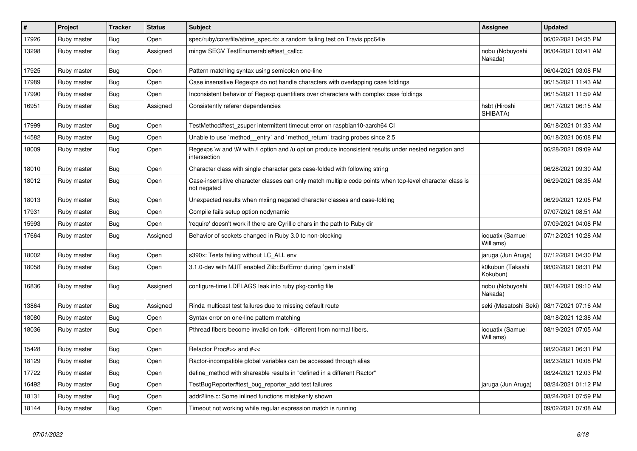| $\vert$ # | Project     | <b>Tracker</b> | <b>Status</b> | <b>Subject</b>                                                                                                          | <b>Assignee</b>               | <b>Updated</b>      |
|-----------|-------------|----------------|---------------|-------------------------------------------------------------------------------------------------------------------------|-------------------------------|---------------------|
| 17926     | Ruby master | Bug            | Open          | spec/ruby/core/file/atime spec.rb: a random failing test on Travis ppc64le                                              |                               | 06/02/2021 04:35 PM |
| 13298     | Ruby master | <b>Bug</b>     | Assigned      | mingw SEGV TestEnumerable#test callcc                                                                                   | nobu (Nobuyoshi<br>Nakada)    | 06/04/2021 03:41 AM |
| 17925     | Ruby master | Bug            | Open          | Pattern matching syntax using semicolon one-line                                                                        |                               | 06/04/2021 03:08 PM |
| 17989     | Ruby master | Bug            | Open          | Case insensitive Regexps do not handle characters with overlapping case foldings                                        |                               | 06/15/2021 11:43 AM |
| 17990     | Ruby master | Bug            | Open          | Inconsistent behavior of Regexp quantifiers over characters with complex case foldings                                  |                               | 06/15/2021 11:59 AM |
| 16951     | Ruby master | Bug            | Assigned      | Consistently referer dependencies                                                                                       | hsbt (Hiroshi<br>SHIBATA)     | 06/17/2021 06:15 AM |
| 17999     | Ruby master | Bug            | Open          | TestMethod#test zsuper intermittent timeout error on raspbian10-aarch64 CI                                              |                               | 06/18/2021 01:33 AM |
| 14582     | Ruby master | Bug            | Open          | Unable to use `method_entry` and `method_return` tracing probes since 2.5                                               |                               | 06/18/2021 06:08 PM |
| 18009     | Ruby master | Bug            | Open          | Regexps \w and \W with /i option and /u option produce inconsistent results under nested negation and<br>intersection   |                               | 06/28/2021 09:09 AM |
| 18010     | Ruby master | Bug            | Open          | Character class with single character gets case-folded with following string                                            |                               | 06/28/2021 09:30 AM |
| 18012     | Ruby master | Bug            | Open          | Case-insensitive character classes can only match multiple code points when top-level character class is<br>not negated |                               | 06/29/2021 08:35 AM |
| 18013     | Ruby master | Bug            | Open          | Unexpected results when mxiing negated character classes and case-folding                                               |                               | 06/29/2021 12:05 PM |
| 17931     | Ruby master | <b>Bug</b>     | Open          | Compile fails setup option nodynamic                                                                                    |                               | 07/07/2021 08:51 AM |
| 15993     | Ruby master | Bug            | Open          | 'require' doesn't work if there are Cyrillic chars in the path to Ruby dir                                              |                               | 07/09/2021 04:08 PM |
| 17664     | Ruby master | Bug            | Assigned      | Behavior of sockets changed in Ruby 3.0 to non-blocking                                                                 | ioquatix (Samuel<br>Williams) | 07/12/2021 10:28 AM |
| 18002     | Ruby master | <b>Bug</b>     | Open          | s390x: Tests failing without LC ALL env                                                                                 | jaruga (Jun Aruga)            | 07/12/2021 04:30 PM |
| 18058     | Ruby master | Bug            | Open          | 3.1.0-dev with MJIT enabled Zlib::BufError during `gem install`                                                         | k0kubun (Takashi<br>Kokubun)  | 08/02/2021 08:31 PM |
| 16836     | Ruby master | Bug            | Assigned      | configure-time LDFLAGS leak into ruby pkg-config file                                                                   | nobu (Nobuyoshi<br>Nakada)    | 08/14/2021 09:10 AM |
| 13864     | Ruby master | Bug            | Assigned      | Rinda multicast test failures due to missing default route                                                              | seki (Masatoshi Seki)         | 08/17/2021 07:16 AM |
| 18080     | Ruby master | Bug            | Open          | Syntax error on one-line pattern matching                                                                               |                               | 08/18/2021 12:38 AM |
| 18036     | Ruby master | Bug            | Open          | Pthread fibers become invalid on fork - different from normal fibers.                                                   | ioquatix (Samuel<br>Williams) | 08/19/2021 07:05 AM |
| 15428     | Ruby master | Bug            | Open          | Refactor Proc#>> and #<<                                                                                                |                               | 08/20/2021 06:31 PM |
| 18129     | Ruby master | Bug            | Open          | Ractor-incompatible global variables can be accessed through alias                                                      |                               | 08/23/2021 10:08 PM |
| 17722     | Ruby master | Bug            | Open          | define method with shareable results in "defined in a different Ractor"                                                 |                               | 08/24/2021 12:03 PM |
| 16492     | Ruby master | <b>Bug</b>     | Open          | TestBugReporter#test_bug_reporter_add test failures                                                                     | jaruga (Jun Aruga)            | 08/24/2021 01:12 PM |
| 18131     | Ruby master | Bug            | Open          | addr2line.c: Some inlined functions mistakenly shown                                                                    |                               | 08/24/2021 07:59 PM |
| 18144     | Ruby master | Bug            | Open          | Timeout not working while regular expression match is running                                                           |                               | 09/02/2021 07:08 AM |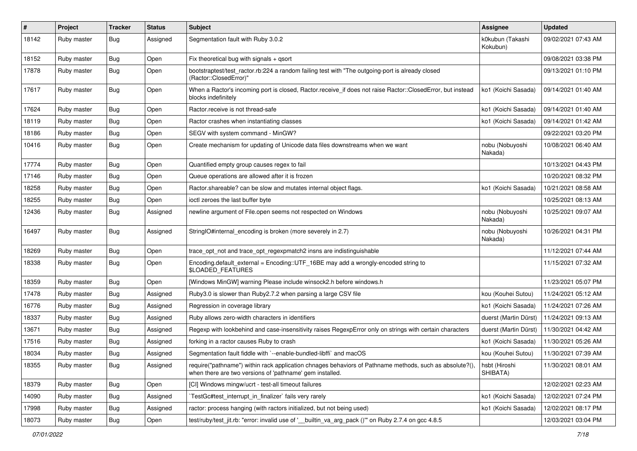| #     | Project     | Tracker    | <b>Status</b> | Subject                                                                                                                                                             | <b>Assignee</b>              | <b>Updated</b>      |
|-------|-------------|------------|---------------|---------------------------------------------------------------------------------------------------------------------------------------------------------------------|------------------------------|---------------------|
| 18142 | Ruby master | Bug        | Assigned      | Segmentation fault with Ruby 3.0.2                                                                                                                                  | k0kubun (Takashi<br>Kokubun) | 09/02/2021 07:43 AM |
| 18152 | Ruby master | <b>Bug</b> | Open          | Fix theoretical bug with signals $+$ qsort                                                                                                                          |                              | 09/08/2021 03:38 PM |
| 17878 | Ruby master | <b>Bug</b> | Open          | bootstraptest/test_ractor.rb:224 a random failing test with "The outgoing-port is already closed<br>(Ractor::ClosedError)"                                          |                              | 09/13/2021 01:10 PM |
| 17617 | Ruby master | <b>Bug</b> | Open          | When a Ractor's incoming port is closed, Ractor.receive_if does not raise Ractor::ClosedError, but instead<br>blocks indefinitely                                   | ko1 (Koichi Sasada)          | 09/14/2021 01:40 AM |
| 17624 | Ruby master | <b>Bug</b> | Open          | Ractor, receive is not thread-safe                                                                                                                                  | ko1 (Koichi Sasada)          | 09/14/2021 01:40 AM |
| 18119 | Ruby master | <b>Bug</b> | Open          | Ractor crashes when instantiating classes                                                                                                                           | ko1 (Koichi Sasada)          | 09/14/2021 01:42 AM |
| 18186 | Ruby master | <b>Bug</b> | Open          | SEGV with system command - MinGW?                                                                                                                                   |                              | 09/22/2021 03:20 PM |
| 10416 | Ruby master | <b>Bug</b> | Open          | Create mechanism for updating of Unicode data files downstreams when we want                                                                                        | nobu (Nobuyoshi<br>Nakada)   | 10/08/2021 06:40 AM |
| 17774 | Ruby master | <b>Bug</b> | Open          | Quantified empty group causes regex to fail                                                                                                                         |                              | 10/13/2021 04:43 PM |
| 17146 | Ruby master | <b>Bug</b> | Open          | Queue operations are allowed after it is frozen                                                                                                                     |                              | 10/20/2021 08:32 PM |
| 18258 | Ruby master | <b>Bug</b> | Open          | Ractor.shareable? can be slow and mutates internal object flags.                                                                                                    | ko1 (Koichi Sasada)          | 10/21/2021 08:58 AM |
| 18255 | Ruby master | <b>Bug</b> | Open          | ioctl zeroes the last buffer byte                                                                                                                                   |                              | 10/25/2021 08:13 AM |
| 12436 | Ruby master | <b>Bug</b> | Assigned      | newline argument of File.open seems not respected on Windows                                                                                                        | nobu (Nobuyoshi<br>Nakada)   | 10/25/2021 09:07 AM |
| 16497 | Ruby master | Bug        | Assigned      | StringIO#internal_encoding is broken (more severely in 2.7)                                                                                                         | nobu (Nobuyoshi<br>Nakada)   | 10/26/2021 04:31 PM |
| 18269 | Ruby master | Bug        | Open          | trace_opt_not and trace_opt_regexpmatch2 insns are indistinguishable                                                                                                |                              | 11/12/2021 07:44 AM |
| 18338 | Ruby master | <b>Bug</b> | Open          | Encoding.default_external = Encoding::UTF_16BE may add a wrongly-encoded string to<br>\$LOADED_FEATURES                                                             |                              | 11/15/2021 07:32 AM |
| 18359 | Ruby master | Bug        | Open          | [Windows MinGW] warning Please include winsock2.h before windows.h                                                                                                  |                              | 11/23/2021 05:07 PM |
| 17478 | Ruby master | <b>Bug</b> | Assigned      | Ruby3.0 is slower than Ruby2.7.2 when parsing a large CSV file                                                                                                      | kou (Kouhei Sutou)           | 11/24/2021 05:12 AM |
| 16776 | Ruby master | Bug        | Assigned      | Regression in coverage library                                                                                                                                      | ko1 (Koichi Sasada)          | 11/24/2021 07:26 AM |
| 18337 | Ruby master | <b>Bug</b> | Assigned      | Ruby allows zero-width characters in identifiers                                                                                                                    | duerst (Martin Dürst)        | 11/24/2021 09:13 AM |
| 13671 | Ruby master | <b>Bug</b> | Assigned      | Regexp with lookbehind and case-insensitivity raises RegexpError only on strings with certain characters                                                            | duerst (Martin Dürst)        | 11/30/2021 04:42 AM |
| 17516 | Ruby master | <b>Bug</b> | Assigned      | forking in a ractor causes Ruby to crash                                                                                                                            | ko1 (Koichi Sasada)          | 11/30/2021 05:26 AM |
| 18034 | Ruby master | Bug        | Assigned      | Segmentation fault fiddle with `--enable-bundled-libffi` and macOS                                                                                                  | kou (Kouhei Sutou)           | 11/30/2021 07:39 AM |
| 18355 | Ruby master | Bug        | Assigned      | require("pathname") within rack application chnages behaviors of Pathname methods, such as absolute?(),<br>when there are two versions of 'pathname' gem installed. | hsbt (Hiroshi<br>SHIBATA)    | 11/30/2021 08:01 AM |
| 18379 | Ruby master | <b>Bug</b> | Open          | [CI] Windows mingw/ucrt - test-all timeout failures                                                                                                                 |                              | 12/02/2021 02:23 AM |
| 14090 | Ruby master | <b>Bug</b> | Assigned      | TestGc#test_interrupt_in_finalizer` fails very rarely                                                                                                               | ko1 (Koichi Sasada)          | 12/02/2021 07:24 PM |
| 17998 | Ruby master | Bug        | Assigned      | ractor: process hanging (with ractors initialized, but not being used)                                                                                              | ko1 (Koichi Sasada)          | 12/02/2021 08:17 PM |
| 18073 | Ruby master | Bug        | Open          | test/ruby/test_jit.rb: "error: invalid use of ' builtin_va_arg_pack ()" on Ruby 2.7.4 on gcc 4.8.5                                                                  |                              | 12/03/2021 03:04 PM |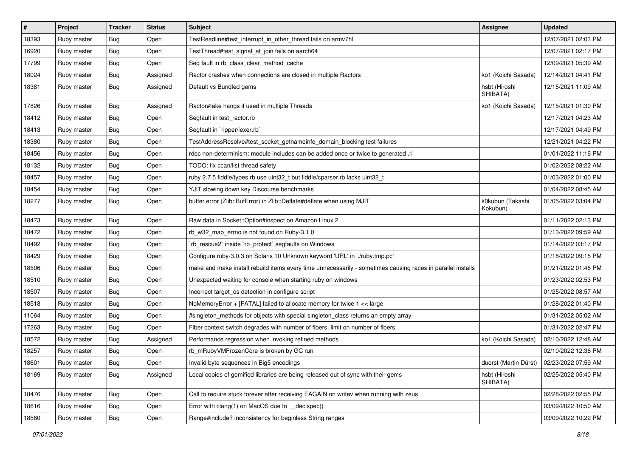| $\pmb{\#}$ | Project     | <b>Tracker</b> | <b>Status</b> | Subject                                                                                                     | Assignee                     | <b>Updated</b>      |
|------------|-------------|----------------|---------------|-------------------------------------------------------------------------------------------------------------|------------------------------|---------------------|
| 18393      | Ruby master | Bug            | Open          | TestReadline#test_interrupt_in_other_thread fails on armv7hl                                                |                              | 12/07/2021 02:03 PM |
| 16920      | Ruby master | <b>Bug</b>     | Open          | TestThread#test_signal_at_join fails on aarch64                                                             |                              | 12/07/2021 02:17 PM |
| 17799      | Ruby master | <b>Bug</b>     | Open          | Seg fault in rb_class_clear_method_cache                                                                    |                              | 12/09/2021 05:39 AM |
| 18024      | Ruby master | <b>Bug</b>     | Assigned      | Ractor crashes when connections are closed in multiple Ractors                                              | ko1 (Koichi Sasada)          | 12/14/2021 04:41 PM |
| 18381      | Ruby master | Bug            | Assigned      | Default vs Bundled gems                                                                                     | hsbt (Hiroshi<br>SHIBATA)    | 12/15/2021 11:09 AM |
| 17826      | Ruby master | <b>Bug</b>     | Assigned      | Ractor#take hangs if used in multiple Threads                                                               | ko1 (Koichi Sasada)          | 12/15/2021 01:30 PM |
| 18412      | Ruby master | Bug            | Open          | Segfault in test_ractor.rb                                                                                  |                              | 12/17/2021 04:23 AM |
| 18413      | Ruby master | <b>Bug</b>     | Open          | Segfault in `ripper/lexer.rb`                                                                               |                              | 12/17/2021 04:49 PM |
| 18380      | Ruby master | <b>Bug</b>     | Open          | TestAddressResolve#test_socket_getnameinfo_domain_blocking test failures                                    |                              | 12/21/2021 04:22 PM |
| 18456      | Ruby master | Bug            | Open          | rdoc non-determinism: module includes can be added once or twice to generated .ri                           |                              | 01/01/2022 11:16 PM |
| 18132      | Ruby master | <b>Bug</b>     | Open          | TODO: fix ccan/list thread safety                                                                           |                              | 01/02/2022 08:22 AM |
| 18457      | Ruby master | Bug            | Open          | ruby 2.7.5 fiddle/types.rb use uint32_t but fiddle/cparser.rb lacks uint32_t                                |                              | 01/03/2022 01:00 PM |
| 18454      | Ruby master | Bug            | Open          | YJIT slowing down key Discourse benchmarks                                                                  |                              | 01/04/2022 08:45 AM |
| 18277      | Ruby master | Bug            | Open          | buffer error (Zlib::BufError) in Zlib::Deflate#deflate when using MJIT                                      | k0kubun (Takashi<br>Kokubun) | 01/05/2022 03:04 PM |
| 18473      | Ruby master | Bug            | Open          | Raw data in Socket:: Option#inspect on Amazon Linux 2                                                       |                              | 01/11/2022 02:13 PM |
| 18472      | Ruby master | <b>Bug</b>     | Open          | rb_w32_map_errno is not found on Ruby-3.1.0                                                                 |                              | 01/13/2022 09:59 AM |
| 18492      | Ruby master | <b>Bug</b>     | Open          | 'rb_rescue2' inside 'rb_protect' segfaults on Windows                                                       |                              | 01/14/2022 03:17 PM |
| 18429      | Ruby master | Bug            | Open          | Configure ruby-3.0.3 on Solaris 10 Unknown keyword 'URL' in './ruby.tmp.pc'                                 |                              | 01/18/2022 09:15 PM |
| 18506      | Ruby master | Bug            | Open          | make and make install rebuild items every time unnecessarily - sometimes causing races in parallel installs |                              | 01/21/2022 01:46 PM |
| 18510      | Ruby master | <b>Bug</b>     | Open          | Unexpected waiting for console when starting ruby on windows                                                |                              | 01/23/2022 02:53 PM |
| 18507      | Ruby master | <b>Bug</b>     | Open          | Incorrect target_os detection in configure script                                                           |                              | 01/25/2022 08:57 AM |
| 18518      | Ruby master | <b>Bug</b>     | Open          | NoMemoryError + [FATAL] failed to allocate memory for twice 1 << large                                      |                              | 01/28/2022 01:40 PM |
| 11064      | Ruby master | Bug            | Open          | #singleton_methods for objects with special singleton_class returns an empty array                          |                              | 01/31/2022 05:02 AM |
| 17263      | Ruby master | <b>Bug</b>     | Open          | Fiber context switch degrades with number of fibers, limit on number of fibers                              |                              | 01/31/2022 02:47 PM |
| 18572      | Ruby master | Bug            | Assigned      | Performance regression when invoking refined methods                                                        | ko1 (Koichi Sasada)          | 02/10/2022 12:48 AM |
| 18257      | Ruby master | <b>Bug</b>     | Open          | rb_mRubyVMFrozenCore is broken by GC run                                                                    |                              | 02/10/2022 12:36 PM |
| 18601      | Ruby master | Bug            | Open          | Invalid byte sequences in Big5 encodings                                                                    | duerst (Martin Dürst)        | 02/23/2022 07:59 AM |
| 18169      | Ruby master | Bug            | Assigned      | Local copies of gemified libraries are being released out of sync with their gems                           | hsbt (Hiroshi<br>SHIBATA)    | 02/25/2022 05:40 PM |
| 18476      | Ruby master | Bug            | Open          | Call to require stuck forever after receiving EAGAIN on writev when running with zeus                       |                              | 02/28/2022 02:55 PM |
| 18616      | Ruby master | Bug            | Open          | Error with clang(1) on MacOS due to declspec()                                                              |                              | 03/09/2022 10:50 AM |
| 18580      | Ruby master | Bug            | Open          | Range#include? inconsistency for beginless String ranges                                                    |                              | 03/09/2022 10:22 PM |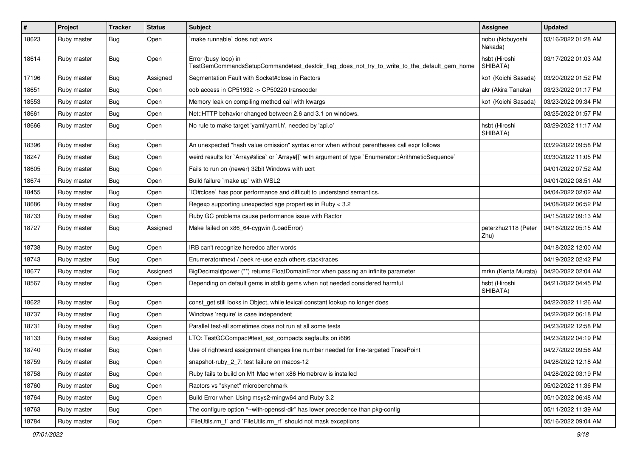| $\vert$ # | Project     | <b>Tracker</b> | <b>Status</b> | <b>Subject</b>                                                                                                      | Assignee                    | <b>Updated</b>      |
|-----------|-------------|----------------|---------------|---------------------------------------------------------------------------------------------------------------------|-----------------------------|---------------------|
| 18623     | Ruby master | <b>Bug</b>     | Open          | make runnable' does not work                                                                                        | nobu (Nobuyoshi<br>Nakada)  | 03/16/2022 01:28 AM |
| 18614     | Ruby master | Bug            | Open          | Error (busy loop) in<br>TestGemCommandsSetupCommand#test_destdir_flag_does_not_try_to_write_to_the_default_gem_home | hsbt (Hiroshi<br>SHIBATA)   | 03/17/2022 01:03 AM |
| 17196     | Ruby master | Bug            | Assigned      | Segmentation Fault with Socket#close in Ractors                                                                     | ko1 (Koichi Sasada)         | 03/20/2022 01:52 PM |
| 18651     | Ruby master | <b>Bug</b>     | Open          | oob access in CP51932 -> CP50220 transcoder                                                                         | akr (Akira Tanaka)          | 03/23/2022 01:17 PM |
| 18553     | Ruby master | Bug            | Open          | Memory leak on compiling method call with kwargs                                                                    | ko1 (Koichi Sasada)         | 03/23/2022 09:34 PM |
| 18661     | Ruby master | Bug            | Open          | Net::HTTP behavior changed between 2.6 and 3.1 on windows.                                                          |                             | 03/25/2022 01:57 PM |
| 18666     | Ruby master | <b>Bug</b>     | Open          | No rule to make target 'yaml/yaml.h', needed by 'api.o'                                                             | hsbt (Hiroshi<br>SHIBATA)   | 03/29/2022 11:17 AM |
| 18396     | Ruby master | Bug            | Open          | An unexpected "hash value omission" syntax error when without parentheses call expr follows                         |                             | 03/29/2022 09:58 PM |
| 18247     | Ruby master | <b>Bug</b>     | Open          | weird results for `Array#slice` or `Array#[]` with argument of type `Enumerator::ArithmeticSequence`                |                             | 03/30/2022 11:05 PM |
| 18605     | Ruby master | <b>Bug</b>     | Open          | Fails to run on (newer) 32bit Windows with ucrt                                                                     |                             | 04/01/2022 07:52 AM |
| 18674     | Ruby master | Bug            | Open          | Build failure `make up` with WSL2                                                                                   |                             | 04/01/2022 08:51 AM |
| 18455     | Ruby master | Bug            | Open          | IO#close` has poor performance and difficult to understand semantics.                                               |                             | 04/04/2022 02:02 AM |
| 18686     | Ruby master | Bug            | Open          | Regexp supporting unexpected age properties in Ruby < 3.2                                                           |                             | 04/08/2022 06:52 PM |
| 18733     | Ruby master | Bug            | Open          | Ruby GC problems cause performance issue with Ractor                                                                |                             | 04/15/2022 09:13 AM |
| 18727     | Ruby master | Bug            | Assigned      | Make failed on x86_64-cygwin (LoadError)                                                                            | peterzhu2118 (Peter<br>Zhu) | 04/16/2022 05:15 AM |
| 18738     | Ruby master | Bug            | Open          | IRB can't recognize heredoc after words                                                                             |                             | 04/18/2022 12:00 AM |
| 18743     | Ruby master | Bug            | Open          | Enumerator#next / peek re-use each others stacktraces                                                               |                             | 04/19/2022 02:42 PM |
| 18677     | Ruby master | <b>Bug</b>     | Assigned      | BigDecimal#power (**) returns FloatDomainError when passing an infinite parameter                                   | mrkn (Kenta Murata)         | 04/20/2022 02:04 AM |
| 18567     | Ruby master | <b>Bug</b>     | Open          | Depending on default gems in stdlib gems when not needed considered harmful                                         | hsbt (Hiroshi<br>SHIBATA)   | 04/21/2022 04:45 PM |
| 18622     | Ruby master | Bug            | Open          | const_get still looks in Object, while lexical constant lookup no longer does                                       |                             | 04/22/2022 11:26 AM |
| 18737     | Ruby master | <b>Bug</b>     | Open          | Windows 'require' is case independent                                                                               |                             | 04/22/2022 06:18 PM |
| 18731     | Ruby master | <b>Bug</b>     | Open          | Parallel test-all sometimes does not run at all some tests                                                          |                             | 04/23/2022 12:58 PM |
| 18133     | Ruby master | <b>Bug</b>     | Assigned      | LTO: TestGCCompact#test_ast_compacts segfaults on i686                                                              |                             | 04/23/2022 04:19 PM |
| 18740     | Ruby master | Bug            | Open          | Use of rightward assignment changes line number needed for line-targeted TracePoint                                 |                             | 04/27/2022 09:56 AM |
| 18759     | Ruby master | Bug            | Open          | snapshot-ruby_2_7: test failure on macos-12                                                                         |                             | 04/28/2022 12:18 AM |
| 18758     | Ruby master | Bug            | Open          | Ruby fails to build on M1 Mac when x86 Homebrew is installed                                                        |                             | 04/28/2022 03:19 PM |
| 18760     | Ruby master | <b>Bug</b>     | Open          | Ractors vs "skynet" microbenchmark                                                                                  |                             | 05/02/2022 11:36 PM |
| 18764     | Ruby master | <b>Bug</b>     | Open          | Build Error when Using msys2-mingw64 and Ruby 3.2                                                                   |                             | 05/10/2022 06:48 AM |
| 18763     | Ruby master | <b>Bug</b>     | Open          | The configure option "--with-openssl-dir" has lower precedence than pkg-config                                      |                             | 05/11/2022 11:39 AM |
| 18784     | Ruby master | <b>Bug</b>     | Open          | FileUtils.rm_f`and `FileUtils.rm_rf` should not mask exceptions                                                     |                             | 05/16/2022 09:04 AM |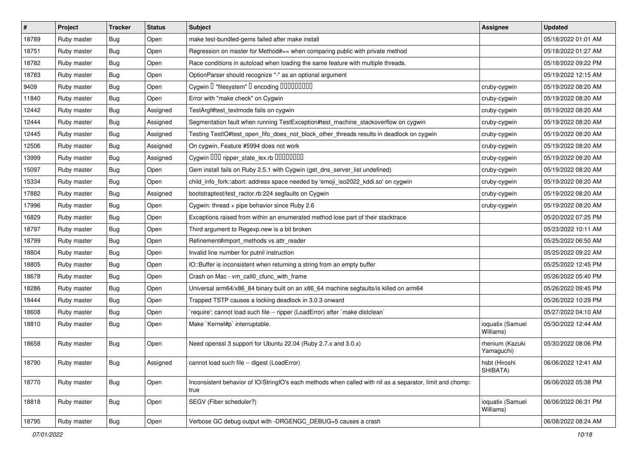| $\vert$ # | Project     | <b>Tracker</b> | <b>Status</b> | Subject                                                                                                           | <b>Assignee</b>               | <b>Updated</b>      |
|-----------|-------------|----------------|---------------|-------------------------------------------------------------------------------------------------------------------|-------------------------------|---------------------|
| 18789     | Ruby master | Bug            | Open          | make test-bundled-gems failed after make install                                                                  |                               | 05/18/2022 01:01 AM |
| 18751     | Ruby master | <b>Bug</b>     | Open          | Regression on master for Method#== when comparing public with private method                                      |                               | 05/18/2022 01:27 AM |
| 18782     | Ruby master | Bug            | Open          | Race conditions in autoload when loading the same feature with multiple threads.                                  |                               | 05/18/2022 09:22 PM |
| 18783     | Ruby master | <b>Bug</b>     | Open          | OptionParser should recognize "-" as an optional argument                                                         |                               | 05/19/2022 12:15 AM |
| 9409      | Ruby master | <b>Bug</b>     | Open          | Cygwin I "filesystem" I encoding IIIIIIIIIIIII                                                                    | cruby-cygwin                  | 05/19/2022 08:20 AM |
| 11840     | Ruby master | Bug            | Open          | Error with "make check" on Cygwin                                                                                 | cruby-cygwin                  | 05/19/2022 08:20 AM |
| 12442     | Ruby master | <b>Bug</b>     | Assigned      | TestArgf#test_textmode fails on cygwin                                                                            | cruby-cygwin                  | 05/19/2022 08:20 AM |
| 12444     | Ruby master | Bug            | Assigned      | Segmentation fault when running TestException#test_machine_stackoverflow on cygwin                                | cruby-cygwin                  | 05/19/2022 08:20 AM |
| 12445     | Ruby master | <b>Bug</b>     | Assigned      | Testing TestIO#test_open_fifo_does_not_block_other_threads results in deadlock on cygwin                          | cruby-cygwin                  | 05/19/2022 08:20 AM |
| 12506     | Ruby master | <b>Bug</b>     | Assigned      | On cygwin, Feature #5994 does not work                                                                            | cruby-cygwin                  | 05/19/2022 08:20 AM |
| 13999     | Ruby master | Bug            | Assigned      | Cygwin DDD ripper_state_lex.rb DDDDDDD                                                                            | cruby-cygwin                  | 05/19/2022 08:20 AM |
| 15097     | Ruby master | <b>Bug</b>     | Open          | Gem install fails on Ruby 2.5.1 with Cygwin (get_dns_server_list undefined)                                       | cruby-cygwin                  | 05/19/2022 08:20 AM |
| 15334     | Ruby master | <b>Bug</b>     | Open          | child_info_fork::abort: address space needed by 'emoji_iso2022_kddi.so' on cygwin                                 | cruby-cygwin                  | 05/19/2022 08:20 AM |
| 17882     | Ruby master | <b>Bug</b>     | Assigned      | bootstraptest/test_ractor.rb:224 segfaults on Cygwin                                                              | cruby-cygwin                  | 05/19/2022 08:20 AM |
| 17996     | Ruby master | <b>Bug</b>     | Open          | Cygwin: thread + pipe behavior since Ruby 2.6                                                                     | cruby-cygwin                  | 05/19/2022 08:20 AM |
| 16829     | Ruby master | Bug            | Open          | Exceptions raised from within an enumerated method lose part of their stacktrace                                  |                               | 05/20/2022 07:25 PM |
| 18797     | Ruby master | <b>Bug</b>     | Open          | Third argument to Regexp.new is a bit broken                                                                      |                               | 05/23/2022 10:11 AM |
| 18799     | Ruby master | Bug            | Open          | Refinement#import_methods vs attr_reader                                                                          |                               | 05/25/2022 06:50 AM |
| 18804     | Ruby master | Bug            | Open          | Invalid line number for putnil instruction                                                                        |                               | 05/25/2022 09:22 AM |
| 18805     | Ruby master | <b>Bug</b>     | Open          | IO::Buffer is inconsistent when returning a string from an empty buffer                                           |                               | 05/25/2022 12:45 PM |
| 18678     | Ruby master | <b>Bug</b>     | Open          | Crash on Mac - vm_call0_cfunc_with_frame                                                                          |                               | 05/26/2022 05:40 PM |
| 18286     | Ruby master | <b>Bug</b>     | Open          | Universal arm64/x86_84 binary built on an x86_64 machine segfaults/is killed on arm64                             |                               | 05/26/2022 09:45 PM |
| 18444     | Ruby master | Bug            | Open          | Trapped TSTP causes a locking deadlock in 3.0.3 onward                                                            |                               | 05/26/2022 10:29 PM |
| 18608     | Ruby master | <b>Bug</b>     | Open          | require': cannot load such file -- ripper (LoadError) after `make distclean`                                      |                               | 05/27/2022 04:10 AM |
| 18810     | Ruby master | <b>Bug</b>     | Open          | Make `Kernel#p` interruptable.                                                                                    | ioquatix (Samuel<br>Williams) | 05/30/2022 12:44 AM |
| 18658     | Ruby master | Bug            | Open          | Need openssl 3 support for Ubuntu 22.04 (Ruby 2.7.x and 3.0.x)                                                    | rhenium (Kazuki<br>Yamaguchi) | 05/30/2022 08:06 PM |
| 18790     | Ruby master | <b>Bug</b>     | Assigned      | cannot load such file -- digest (LoadError)                                                                       | hsbt (Hiroshi<br>SHIBATA)     | 06/06/2022 12:41 AM |
| 18770     | Ruby master | <b>Bug</b>     | Open          | Inconsistent behavior of IO/StringIO's each methods when called with nil as a separator, limit and chomp:<br>true |                               | 06/06/2022 05:38 PM |
| 18818     | Ruby master | <b>Bug</b>     | Open          | SEGV (Fiber scheduler?)                                                                                           | ioquatix (Samuel<br>Williams) | 06/06/2022 06:31 PM |
| 18795     | Ruby master | Bug            | Open          | Verbose GC debug output with -DRGENGC DEBUG=5 causes a crash                                                      |                               | 06/08/2022 08:24 AM |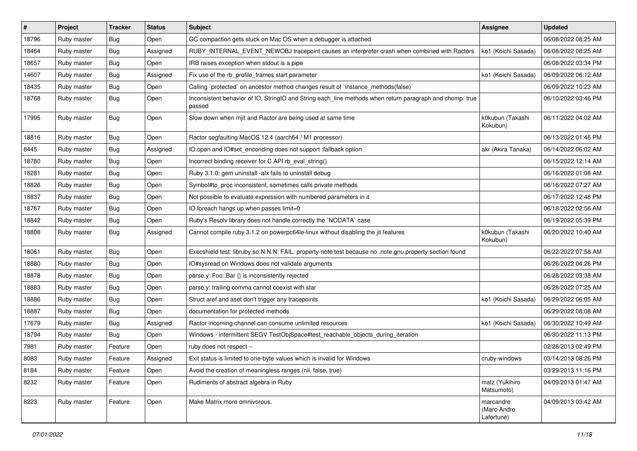| $\pmb{\#}$ | Project     | <b>Tracker</b> | <b>Status</b> | <b>Subject</b>                                                                                                     | <b>Assignee</b>                        | <b>Updated</b>      |
|------------|-------------|----------------|---------------|--------------------------------------------------------------------------------------------------------------------|----------------------------------------|---------------------|
| 18796      | Ruby master | Bug            | Open          | GC compaction gets stuck on Mac OS when a debugger is attached                                                     |                                        | 06/08/2022 08:25 AM |
| 18464      | Ruby master | <b>Bug</b>     | Assigned      | RUBY_INTERNAL_EVENT_NEWOBJ tracepoint causes an interpreter crash when combined with Ractors                       | ko1 (Koichi Sasada)                    | 06/08/2022 08:25 AM |
| 18657      | Ruby master | Bug            | Open          | IRB raises exception when stdout is a pipe                                                                         |                                        | 06/08/2022 03:34 PM |
| 14607      | Ruby master | Bug            | Assigned      | Fix use of the rb_profile_frames start parameter                                                                   | ko1 (Koichi Sasada)                    | 06/09/2022 06:12 AM |
| 18435      | Ruby master | <b>Bug</b>     | Open          | Calling `protected` on ancestor method changes result of `instance_methods(false)`                                 |                                        | 06/09/2022 10:23 AM |
| 18768      | Ruby master | Bug            | Open          | Inconsistent behavior of IO, StringIO and String each_line methods when return paragraph and chomp: true<br>passed |                                        | 06/10/2022 03:46 PM |
| 17995      | Ruby master | Bug            | Open          | Slow down when mjit and Ractor are being used at same time                                                         | k0kubun (Takashi<br>Kokubun)           | 06/11/2022 04:02 AM |
| 18816      | Ruby master | <b>Bug</b>     | Open          | Ractor segfaulting MacOS 12.4 (aarch64 / M1 processor)                                                             |                                        | 06/13/2022 01:46 PM |
| 8445       | Ruby master | Bug            | Assigned      | IO.open and IO#set enconding does not support :fallback option                                                     | akr (Akira Tanaka)                     | 06/14/2022 06:02 AM |
| 18780      | Ruby master | <b>Bug</b>     | Open          | Incorrect binding receiver for C API rb_eval_string()                                                              |                                        | 06/15/2022 12:14 AM |
| 18281      | Ruby master | Bug            | Open          | Ruby 3.1.0: gem uninstall -alx fails to uninstall debug                                                            |                                        | 06/16/2022 01:08 AM |
| 18826      | Ruby master | <b>Bug</b>     | Open          | Symbol#to_proc inconsistent, sometimes calls private methods                                                       |                                        | 06/16/2022 07:27 AM |
| 18837      | Ruby master | Bug            | Open          | Not possible to evaluate expression with numbered parameters in it                                                 |                                        | 06/17/2022 12:48 PM |
| 18767      | Ruby master | Bug            | Open          | IO.foreach hangs up when passes limit=0                                                                            |                                        | 06/18/2022 02:56 AM |
| 18842      | Ruby master | <b>Bug</b>     | Open          | Ruby's Resolv library does not handle correctly the `NODATA` case                                                  |                                        | 06/19/2022 05:39 PM |
| 18808      | Ruby master | Bug            | Assigned      | Cannot compile ruby 3.1.2 on powerpc64le-linux without disabling the jit features                                  | k0kubun (Takashi<br>Kokubun)           | 06/20/2022 10:40 AM |
| 18061      | Ruby master | Bug            | Open          | Execshield test: libruby.so.N.N.N: FAIL: property-note test because no .note.gnu.property section found            |                                        | 06/22/2022 07:58 AM |
| 18880      | Ruby master | <b>Bug</b>     | Open          | IO#sysread on Windows does not validate arguments                                                                  |                                        | 06/26/2022 04:26 PM |
| 18878      | Ruby master | Bug            | Open          | parse.y: Foo::Bar {} is inconsistently rejected                                                                    |                                        | 06/28/2022 03:38 AM |
| 18883      | Ruby master | <b>Bug</b>     | Open          | parse.y: trailing comma cannot coexist with star                                                                   |                                        | 06/28/2022 07:25 AM |
| 18886      | Ruby master | Bug            | Open          | Struct aref and aset don't trigger any tracepoints.                                                                | ko1 (Koichi Sasada)                    | 06/29/2022 06:05 AM |
| 18887      | Ruby master | Bug            | Open          | documentation for protected methods                                                                                |                                        | 06/29/2022 08:08 AM |
| 17679      | Ruby master | <b>Bug</b>     | Assigned      | Ractor incoming channel can consume unlimited resources                                                            | ko1 (Koichi Sasada)                    | 06/30/2022 10:49 AM |
| 18794      | Ruby master | Bug            | Open          | Windows - intermittent SEGV TestObjSpace#test_reachable_objects_during_iteration                                   |                                        | 06/30/2022 11:13 PM |
| 7981       | Ruby master | Feature        | Open          | ruby does not respect --                                                                                           |                                        | 02/28/2013 02:49 PM |
| 8083       | Ruby master | Feature        | Assigned      | Exit status is limited to one-byte values which is invalid for Windows                                             | cruby-windows                          | 03/14/2013 08:26 PM |
| 8184       | Ruby master | Feature        | Open          | Avoid the creation of meaningless ranges (nil, false, true)                                                        |                                        | 03/29/2013 11:16 PM |
| 8232       | Ruby master | Feature        | Open          | Rudiments of abstract algebra in Ruby                                                                              | matz (Yukihiro<br>Matsumoto)           | 04/09/2013 01:47 AM |
| 8223       | Ruby master | Feature        | Open          | Make Matrix more omnivorous.                                                                                       | marcandre<br>(Marc-Andre<br>Lafortune) | 04/09/2013 03:42 AM |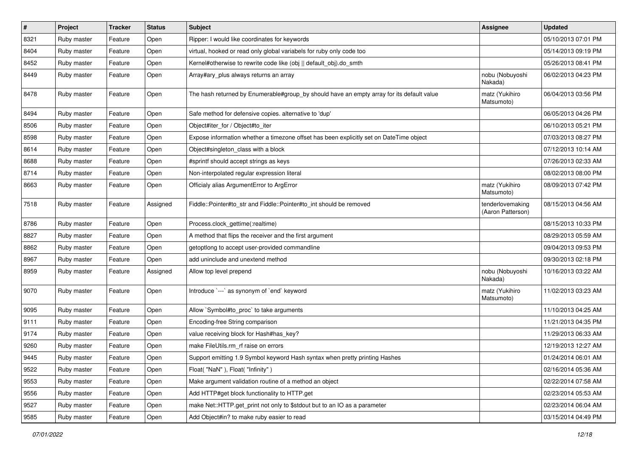| $\sharp$ | Project     | Tracker | <b>Status</b> | Subject                                                                                   | <b>Assignee</b>                       | <b>Updated</b>      |
|----------|-------------|---------|---------------|-------------------------------------------------------------------------------------------|---------------------------------------|---------------------|
| 8321     | Ruby master | Feature | Open          | Ripper: I would like coordinates for keywords                                             |                                       | 05/10/2013 07:01 PM |
| 8404     | Ruby master | Feature | Open          | virtual, hooked or read only global variabels for ruby only code too                      |                                       | 05/14/2013 09:19 PM |
| 8452     | Ruby master | Feature | Open          | Kernel#otherwise to rewrite code like (obj    default_obj).do_smth                        |                                       | 05/26/2013 08:41 PM |
| 8449     | Ruby master | Feature | Open          | Array#ary_plus always returns an array                                                    | nobu (Nobuyoshi<br>Nakada)            | 06/02/2013 04:23 PM |
| 8478     | Ruby master | Feature | Open          | The hash returned by Enumerable#group_by should have an empty array for its default value | matz (Yukihiro<br>Matsumoto)          | 06/04/2013 03:56 PM |
| 8494     | Ruby master | Feature | Open          | Safe method for defensive copies. alternative to 'dup'                                    |                                       | 06/05/2013 04:26 PM |
| 8506     | Ruby master | Feature | Open          | Object#iter_for / Object#to_iter                                                          |                                       | 06/10/2013 05:21 PM |
| 8598     | Ruby master | Feature | Open          | Expose information whether a timezone offset has been explicitly set on DateTime object   |                                       | 07/03/2013 08:27 PM |
| 8614     | Ruby master | Feature | Open          | Object#singleton_class with a block                                                       |                                       | 07/12/2013 10:14 AM |
| 8688     | Ruby master | Feature | Open          | #sprintf should accept strings as keys                                                    |                                       | 07/26/2013 02:33 AM |
| 8714     | Ruby master | Feature | Open          | Non-interpolated regular expression literal                                               |                                       | 08/02/2013 08:00 PM |
| 8663     | Ruby master | Feature | Open          | Officialy alias ArgumentError to ArgError                                                 | matz (Yukihiro<br>Matsumoto)          | 08/09/2013 07:42 PM |
| 7518     | Ruby master | Feature | Assigned      | Fiddle::Pointer#to_str and Fiddle::Pointer#to_int should be removed                       | tenderlovemaking<br>(Aaron Patterson) | 08/15/2013 04:56 AM |
| 8786     | Ruby master | Feature | Open          | Process.clock_gettime(:realtime)                                                          |                                       | 08/15/2013 10:33 PM |
| 8827     | Ruby master | Feature | Open          | A method that flips the receiver and the first argument                                   |                                       | 08/29/2013 05:59 AM |
| 8862     | Ruby master | Feature | Open          | getoptlong to accept user-provided commandline                                            |                                       | 09/04/2013 09:53 PM |
| 8967     | Ruby master | Feature | Open          | add uninclude and unextend method                                                         |                                       | 09/30/2013 02:18 PM |
| 8959     | Ruby master | Feature | Assigned      | Allow top level prepend                                                                   | nobu (Nobuyoshi<br>Nakada)            | 10/16/2013 03:22 AM |
| 9070     | Ruby master | Feature | Open          | Introduce `---` as synonym of `end` keyword                                               | matz (Yukihiro<br>Matsumoto)          | 11/02/2013 03:23 AM |
| 9095     | Ruby master | Feature | Open          | Allow `Symbol#to_proc` to take arguments                                                  |                                       | 11/10/2013 04:25 AM |
| 9111     | Ruby master | Feature | Open          | Encoding-free String comparison                                                           |                                       | 11/21/2013 04:35 PM |
| 9174     | Ruby master | Feature | Open          | value receiving block for Hash#has_key?                                                   |                                       | 11/29/2013 06:33 AM |
| 9260     | Ruby master | Feature | Open          | make FileUtils.rm_rf raise on errors                                                      |                                       | 12/19/2013 12:27 AM |
| 9445     | Ruby master | Feature | Open          | Support emitting 1.9 Symbol keyword Hash syntax when pretty printing Hashes               |                                       | 01/24/2014 06:01 AM |
| 9522     | Ruby master | Feature | Open          | Float("NaN"), Float("Infinity")                                                           |                                       | 02/16/2014 05:36 AM |
| 9553     | Ruby master | Feature | Open          | Make argument validation routine of a method an object                                    |                                       | 02/22/2014 07:58 AM |
| 9556     | Ruby master | Feature | Open          | Add HTTP#get block functionality to HTTP.get                                              |                                       | 02/23/2014 05:53 AM |
| 9527     | Ruby master | Feature | Open          | make Net::HTTP.get_print not only to \$stdout but to an IO as a parameter                 |                                       | 02/23/2014 06:04 AM |
| 9585     | Ruby master | Feature | Open          | Add Object#in? to make ruby easier to read                                                |                                       | 03/15/2014 04:49 PM |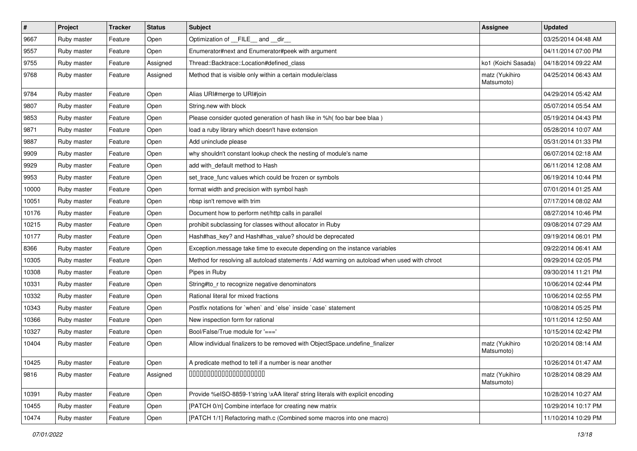| $\sharp$ | Project     | Tracker | <b>Status</b> | Subject                                                                                      | <b>Assignee</b>              | <b>Updated</b>      |
|----------|-------------|---------|---------------|----------------------------------------------------------------------------------------------|------------------------------|---------------------|
| 9667     | Ruby master | Feature | Open          | Optimization of FILE and dir                                                                 |                              | 03/25/2014 04:48 AM |
| 9557     | Ruby master | Feature | Open          | Enumerator#next and Enumerator#peek with argument                                            |                              | 04/11/2014 07:00 PM |
| 9755     | Ruby master | Feature | Assigned      | Thread::Backtrace::Location#defined_class                                                    | ko1 (Koichi Sasada)          | 04/18/2014 09:22 AM |
| 9768     | Ruby master | Feature | Assigned      | Method that is visible only within a certain module/class                                    | matz (Yukihiro<br>Matsumoto) | 04/25/2014 06:43 AM |
| 9784     | Ruby master | Feature | Open          | Alias URI#merge to URI#join                                                                  |                              | 04/29/2014 05:42 AM |
| 9807     | Ruby master | Feature | Open          | String.new with block                                                                        |                              | 05/07/2014 05:54 AM |
| 9853     | Ruby master | Feature | Open          | Please consider quoted generation of hash like in %h( foo bar bee blaa)                      |                              | 05/19/2014 04:43 PM |
| 9871     | Ruby master | Feature | Open          | load a ruby library which doesn't have extension                                             |                              | 05/28/2014 10:07 AM |
| 9887     | Ruby master | Feature | Open          | Add uninclude please                                                                         |                              | 05/31/2014 01:33 PM |
| 9909     | Ruby master | Feature | Open          | why shouldn't constant lookup check the nesting of module's name                             |                              | 06/07/2014 02:18 AM |
| 9929     | Ruby master | Feature | Open          | add with_default method to Hash                                                              |                              | 06/11/2014 12:08 AM |
| 9953     | Ruby master | Feature | Open          | set_trace_func values which could be frozen or symbols                                       |                              | 06/19/2014 10:44 PM |
| 10000    | Ruby master | Feature | Open          | format width and precision with symbol hash                                                  |                              | 07/01/2014 01:25 AM |
| 10051    | Ruby master | Feature | Open          | nbsp isn't remove with trim                                                                  |                              | 07/17/2014 08:02 AM |
| 10176    | Ruby master | Feature | Open          | Document how to perform net/http calls in parallel                                           |                              | 08/27/2014 10:46 PM |
| 10215    | Ruby master | Feature | Open          | prohibit subclassing for classes without allocator in Ruby                                   |                              | 09/08/2014 07:29 AM |
| 10177    | Ruby master | Feature | Open          | Hash#has_key? and Hash#has_value? should be deprecated                                       |                              | 09/19/2014 06:01 PM |
| 8366     | Ruby master | Feature | Open          | Exception.message take time to execute depending on the instance variables                   |                              | 09/22/2014 06:41 AM |
| 10305    | Ruby master | Feature | Open          | Method for resolving all autoload statements / Add warning on autoload when used with chroot |                              | 09/29/2014 02:05 PM |
| 10308    | Ruby master | Feature | Open          | Pipes in Ruby                                                                                |                              | 09/30/2014 11:21 PM |
| 10331    | Ruby master | Feature | Open          | String#to_r to recognize negative denominators                                               |                              | 10/06/2014 02:44 PM |
| 10332    | Ruby master | Feature | Open          | Rational literal for mixed fractions                                                         |                              | 10/06/2014 02:55 PM |
| 10343    | Ruby master | Feature | Open          | Postfix notations for `when` and `else` inside `case` statement                              |                              | 10/08/2014 05:25 PM |
| 10366    | Ruby master | Feature | Open          | New inspection form for rational                                                             |                              | 10/11/2014 12:50 AM |
| 10327    | Ruby master | Feature | Open          | Bool/False/True module for '==='                                                             |                              | 10/15/2014 02:42 PM |
| 10404    | Ruby master | Feature | Open          | Allow individual finalizers to be removed with ObjectSpace.undefine_finalizer                | matz (Yukihiro<br>Matsumoto) | 10/20/2014 08:14 AM |
| 10425    | Ruby master | Feature | Open          | A predicate method to tell if a number is near another                                       |                              | 10/26/2014 01:47 AM |
| 9816     | Ruby master | Feature | Assigned      | 00000000000000000000                                                                         | matz (Yukihiro<br>Matsumoto) | 10/28/2014 08:29 AM |
| 10391    | Ruby master | Feature | Open          | Provide %eISO-8859-1'string \xAA literal' string literals with explicit encoding             |                              | 10/28/2014 10:27 AM |
| 10455    | Ruby master | Feature | Open          | [PATCH 0/n] Combine interface for creating new matrix                                        |                              | 10/29/2014 10:17 PM |
| 10474    | Ruby master | Feature | Open          | [PATCH 1/1] Refactoring math.c (Combined some macros into one macro)                         |                              | 11/10/2014 10:29 PM |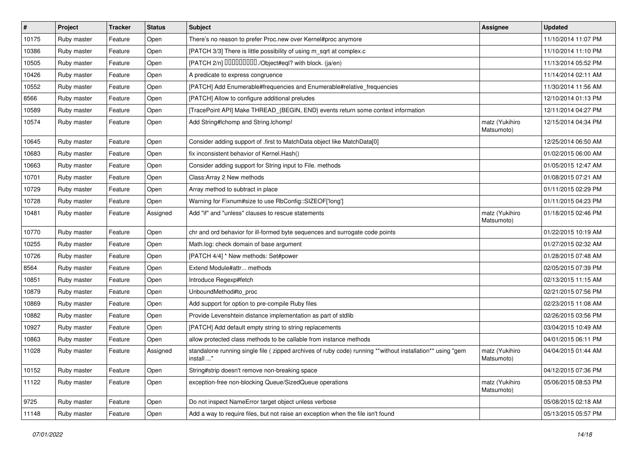| #     | Project     | <b>Tracker</b> | <b>Status</b> | Subject                                                                                                                 | <b>Assignee</b>              | <b>Updated</b>      |
|-------|-------------|----------------|---------------|-------------------------------------------------------------------------------------------------------------------------|------------------------------|---------------------|
| 10175 | Ruby master | Feature        | Open          | There's no reason to prefer Proc.new over Kernel#proc anymore                                                           |                              | 11/10/2014 11:07 PM |
| 10386 | Ruby master | Feature        | Open          | [PATCH 3/3] There is little possibility of using m_sqrt at complex.c                                                    |                              | 11/10/2014 11:10 PM |
| 10505 | Ruby master | Feature        | Open          | [PATCH 2/n] DDDDDDDD./Object#eql? with block. (ja/en)                                                                   |                              | 11/13/2014 05:52 PM |
| 10426 | Ruby master | Feature        | Open          | A predicate to express congruence                                                                                       |                              | 11/14/2014 02:11 AM |
| 10552 | Ruby master | Feature        | Open          | [PATCH] Add Enumerable#frequencies and Enumerable#relative_frequencies                                                  |                              | 11/30/2014 11:56 AM |
| 8566  | Ruby master | Feature        | Open          | [PATCH] Allow to configure additional preludes                                                                          |                              | 12/10/2014 01:13 PM |
| 10589 | Ruby master | Feature        | Open          | [TracePoint API] Make THREAD_{BEGIN, END} events return some context information                                        |                              | 12/11/2014 04:27 PM |
| 10574 | Ruby master | Feature        | Open          | Add String#Ichomp and String.Ichomp!                                                                                    | matz (Yukihiro<br>Matsumoto) | 12/15/2014 04:34 PM |
| 10645 | Ruby master | Feature        | Open          | Consider adding support of .first to MatchData object like MatchData[0]                                                 |                              | 12/25/2014 06:50 AM |
| 10683 | Ruby master | Feature        | Open          | fix inconsistent behavior of Kernel.Hash()                                                                              |                              | 01/02/2015 06:00 AM |
| 10663 | Ruby master | Feature        | Open          | Consider adding support for String input to File. methods                                                               |                              | 01/05/2015 12:47 AM |
| 10701 | Ruby master | Feature        | Open          | Class: Array 2 New methods                                                                                              |                              | 01/08/2015 07:21 AM |
| 10729 | Ruby master | Feature        | Open          | Array method to subtract in place                                                                                       |                              | 01/11/2015 02:29 PM |
| 10728 | Ruby master | Feature        | Open          | Warning for Fixnum#size to use RbConfig::SIZEOF['long']                                                                 |                              | 01/11/2015 04:23 PM |
| 10481 | Ruby master | Feature        | Assigned      | Add "if" and "unless" clauses to rescue statements                                                                      | matz (Yukihiro<br>Matsumoto) | 01/18/2015 02:46 PM |
| 10770 | Ruby master | Feature        | Open          | chr and ord behavior for ill-formed byte sequences and surrogate code points                                            |                              | 01/22/2015 10:19 AM |
| 10255 | Ruby master | Feature        | Open          | Math.log: check domain of base argument                                                                                 |                              | 01/27/2015 02:32 AM |
| 10726 | Ruby master | Feature        | Open          | [PATCH 4/4] * New methods: Set#power                                                                                    |                              | 01/28/2015 07:48 AM |
| 8564  | Ruby master | Feature        | Open          | Extend Module#attr methods                                                                                              |                              | 02/05/2015 07:39 PM |
| 10851 | Ruby master | Feature        | Open          | Introduce Regexp#fetch                                                                                                  |                              | 02/13/2015 11:15 AM |
| 10879 | Ruby master | Feature        | Open          | UnboundMethod#to_proc                                                                                                   |                              | 02/21/2015 07:56 PM |
| 10869 | Ruby master | Feature        | Open          | Add support for option to pre-compile Ruby files                                                                        |                              | 02/23/2015 11:08 AM |
| 10882 | Ruby master | Feature        | Open          | Provide Levenshtein distance implementation as part of stdlib                                                           |                              | 02/26/2015 03:56 PM |
| 10927 | Ruby master | Feature        | Open          | [PATCH] Add default empty string to string replacements                                                                 |                              | 03/04/2015 10:49 AM |
| 10863 | Ruby master | Feature        | Open          | allow protected class methods to be callable from instance methods                                                      |                              | 04/01/2015 06:11 PM |
| 11028 | Ruby master | Feature        | Assigned      | standalone running single file ( zipped archives of ruby code) running **without installation** using "gem<br>install " | matz (Yukihiro<br>Matsumoto) | 04/04/2015 01:44 AM |
| 10152 | Ruby master | Feature        | Open          | String#strip doesn't remove non-breaking space                                                                          |                              | 04/12/2015 07:36 PM |
| 11122 | Ruby master | Feature        | Open          | exception-free non-blocking Queue/SizedQueue operations                                                                 | matz (Yukihiro<br>Matsumoto) | 05/06/2015 08:53 PM |
| 9725  | Ruby master | Feature        | Open          | Do not inspect NameError target object unless verbose                                                                   |                              | 05/08/2015 02:18 AM |
| 11148 | Ruby master | Feature        | Open          | Add a way to require files, but not raise an exception when the file isn't found                                        |                              | 05/13/2015 05:57 PM |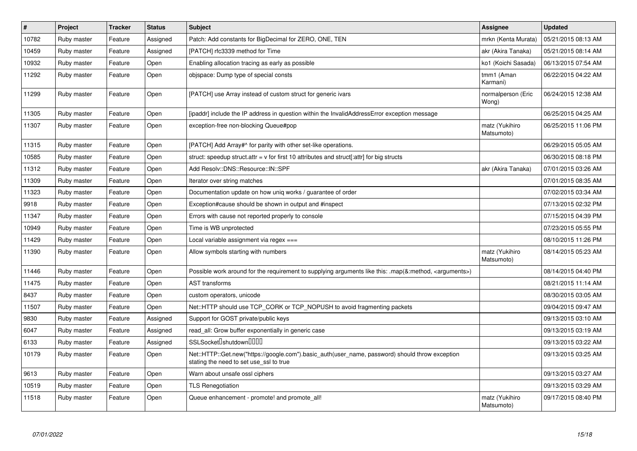| $\pmb{\#}$ | Project     | <b>Tracker</b> | <b>Status</b> | <b>Subject</b>                                                                                                                             | <b>Assignee</b>              | <b>Updated</b>      |
|------------|-------------|----------------|---------------|--------------------------------------------------------------------------------------------------------------------------------------------|------------------------------|---------------------|
| 10782      | Ruby master | Feature        | Assigned      | Patch: Add constants for BigDecimal for ZERO, ONE, TEN                                                                                     | mrkn (Kenta Murata)          | 05/21/2015 08:13 AM |
| 10459      | Ruby master | Feature        | Assigned      | [PATCH] rfc3339 method for Time                                                                                                            | akr (Akira Tanaka)           | 05/21/2015 08:14 AM |
| 10932      | Ruby master | Feature        | Open          | Enabling allocation tracing as early as possible                                                                                           | ko1 (Koichi Sasada)          | 06/13/2015 07:54 AM |
| 11292      | Ruby master | Feature        | Open          | objspace: Dump type of special consts                                                                                                      | tmm1 (Aman<br>Karmani)       | 06/22/2015 04:22 AM |
| 11299      | Ruby master | Feature        | Open          | [PATCH] use Array instead of custom struct for generic ivars                                                                               | normalperson (Eric<br>Wong)  | 06/24/2015 12:38 AM |
| 11305      | Ruby master | Feature        | Open          | [ipaddr] include the IP address in question within the InvalidAddressError exception message                                               |                              | 06/25/2015 04:25 AM |
| 11307      | Ruby master | Feature        | Open          | exception-free non-blocking Queue#pop                                                                                                      | matz (Yukihiro<br>Matsumoto) | 06/25/2015 11:06 PM |
| 11315      | Ruby master | Feature        | Open          | [PATCH] Add Array#^ for parity with other set-like operations.                                                                             |                              | 06/29/2015 05:05 AM |
| 10585      | Ruby master | Feature        | Open          | struct: speedup struct.attr = $v$ for first 10 attributes and struct[:attr] for big structs                                                |                              | 06/30/2015 08:18 PM |
| 11312      | Ruby master | Feature        | Open          | Add Resolv::DNS::Resource::IN::SPF                                                                                                         | akr (Akira Tanaka)           | 07/01/2015 03:26 AM |
| 11309      | Ruby master | Feature        | Open          | Iterator over string matches                                                                                                               |                              | 07/01/2015 08:35 AM |
| 11323      | Ruby master | Feature        | Open          | Documentation update on how uniq works / guarantee of order                                                                                |                              | 07/02/2015 03:34 AM |
| 9918       | Ruby master | Feature        | Open          | Exception#cause should be shown in output and #inspect                                                                                     |                              | 07/13/2015 02:32 PM |
| 11347      | Ruby master | Feature        | Open          | Errors with cause not reported properly to console                                                                                         |                              | 07/15/2015 04:39 PM |
| 10949      | Ruby master | Feature        | Open          | Time is WB unprotected                                                                                                                     |                              | 07/23/2015 05:55 PM |
| 11429      | Ruby master | Feature        | Open          | Local variable assignment via regex $==$                                                                                                   |                              | 08/10/2015 11:26 PM |
| 11390      | Ruby master | Feature        | Open          | Allow symbols starting with numbers                                                                                                        | matz (Yukihiro<br>Matsumoto) | 08/14/2015 05:23 AM |
| 11446      | Ruby master | Feature        | Open          | Possible work around for the requirement to supplying arguments like this: .map(&:method, <arguments>)</arguments>                         |                              | 08/14/2015 04:40 PM |
| 11475      | Ruby master | Feature        | Open          | <b>AST</b> transforms                                                                                                                      |                              | 08/21/2015 11:14 AM |
| 8437       | Ruby master | Feature        | Open          | custom operators, unicode                                                                                                                  |                              | 08/30/2015 03:05 AM |
| 11507      | Ruby master | Feature        | Open          | Net::HTTP should use TCP CORK or TCP NOPUSH to avoid fragmenting packets                                                                   |                              | 09/04/2015 09:47 AM |
| 9830       | Ruby master | Feature        | Assigned      | Support for GOST private/public keys                                                                                                       |                              | 09/13/2015 03:10 AM |
| 6047       | Ruby master | Feature        | Assigned      | read all: Grow buffer exponentially in generic case                                                                                        |                              | 09/13/2015 03:19 AM |
| 6133       | Ruby master | Feature        | Assigned      | SSLSocket <sup>[</sup> shutdown <sup>[11]</sup>                                                                                            |                              | 09/13/2015 03:22 AM |
| 10179      | Ruby master | Feature        | Open          | Net::HTTP::Get.new("https://google.com").basic_auth(user_name, password) should throw exception<br>stating the need to set use_ssl to true |                              | 09/13/2015 03:25 AM |
| 9613       | Ruby master | Feature        | Open          | Warn about unsafe ossl ciphers                                                                                                             |                              | 09/13/2015 03:27 AM |
| 10519      | Ruby master | Feature        | Open          | <b>TLS Renegotiation</b>                                                                                                                   |                              | 09/13/2015 03:29 AM |
| 11518      | Ruby master | Feature        | Open          | Queue enhancement - promote! and promote all!                                                                                              | matz (Yukihiro<br>Matsumoto) | 09/17/2015 08:40 PM |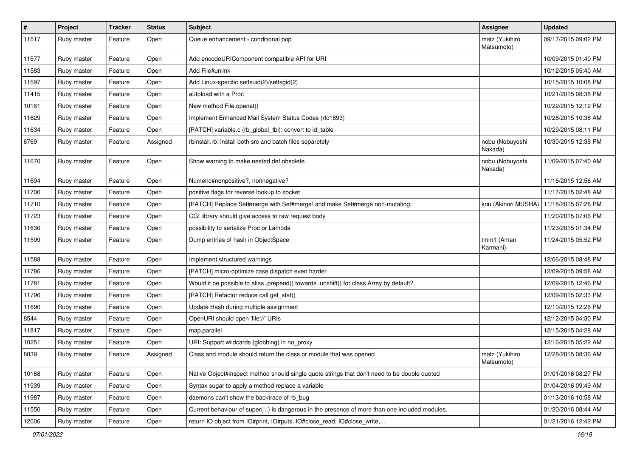| $\sharp$ | Project     | Tracker | <b>Status</b> | Subject                                                                                      | <b>Assignee</b>              | <b>Updated</b>      |
|----------|-------------|---------|---------------|----------------------------------------------------------------------------------------------|------------------------------|---------------------|
| 11517    | Ruby master | Feature | Open          | Queue enhancement - conditional pop                                                          | matz (Yukihiro<br>Matsumoto) | 09/17/2015 09:02 PM |
| 11577    | Ruby master | Feature | Open          | Add encodeURIComponent compatible API for URI                                                |                              | 10/09/2015 01:40 PM |
| 11583    | Ruby master | Feature | Open          | Add File#unlink                                                                              |                              | 10/12/2015 05:40 AM |
| 11597    | Ruby master | Feature | Open          | Add Linux-specific setfsuid(2)/setfsgid(2)                                                   |                              | 10/15/2015 10:08 PM |
| 11415    | Ruby master | Feature | Open          | autoload with a Proc                                                                         |                              | 10/21/2015 08:38 PM |
| 10181    | Ruby master | Feature | Open          | New method File.openat()                                                                     |                              | 10/22/2015 12:12 PM |
| 11629    | Ruby master | Feature | Open          | Implement Enhanced Mail System Status Codes (rfc1893)                                        |                              | 10/28/2015 10:38 AM |
| 11634    | Ruby master | Feature | Open          | [PATCH] variable.c (rb_global_tbl): convert to id_table                                      |                              | 10/29/2015 08:11 PM |
| 6769     | Ruby master | Feature | Assigned      | rbinstall.rb: install both src and batch files separetely                                    | nobu (Nobuyoshi<br>Nakada)   | 10/30/2015 12:38 PM |
| 11670    | Ruby master | Feature | Open          | Show warning to make nested def obsolete                                                     | nobu (Nobuyoshi<br>Nakada)   | 11/09/2015 07:40 AM |
| 11694    | Ruby master | Feature | Open          | Numeric#nonpositive?, nonnegative?                                                           |                              | 11/16/2015 12:56 AM |
| 11700    | Ruby master | Feature | Open          | positive flags for reverse lookup to socket                                                  |                              | 11/17/2015 02:48 AM |
| 11710    | Ruby master | Feature | Open          | [PATCH] Replace Set#merge with Set#merge! and make Set#merge non-mutating.                   | knu (Akinori MUSHA)          | 11/18/2015 07:28 PM |
| 11723    | Ruby master | Feature | Open          | CGI library should give access to raw request body                                           |                              | 11/20/2015 07:06 PM |
| 11630    | Ruby master | Feature | Open          | possibility to serialize Proc or Lambda                                                      |                              | 11/23/2015 01:34 PM |
| 11599    | Ruby master | Feature | Open          | Dump entries of hash in ObjectSpace                                                          | tmm1 (Aman<br>Karmani)       | 11/24/2015 05:52 PM |
| 11588    | Ruby master | Feature | Open          | Implement structured warnings                                                                |                              | 12/06/2015 08:48 PM |
| 11786    | Ruby master | Feature | Open          | [PATCH] micro-optimize case dispatch even harder                                             |                              | 12/09/2015 09:58 AM |
| 11781    | Ruby master | Feature | Open          | Would it be possible to alias .prepend() towards .unshift() for class Array by default?      |                              | 12/09/2015 12:46 PM |
| 11796    | Ruby master | Feature | Open          | [PATCH] Refactor reduce call get_stat()                                                      |                              | 12/09/2015 02:33 PM |
| 11690    | Ruby master | Feature | Open          | Update Hash during multiple assignment                                                       |                              | 12/10/2015 12:26 PM |
| 8544     | Ruby master | Feature | Open          | OpenURI should open 'file://' URIs                                                           |                              | 12/12/2015 04:30 PM |
| 11817    | Ruby master | Feature | Open          | map.parallel                                                                                 |                              | 12/15/2015 04:28 AM |
| 10251    | Ruby master | Feature | Open          | URI: Support wildcards (globbing) in no_proxy                                                |                              | 12/16/2015 05:22 AM |
| 8839     | Ruby master | Feature | Assigned      | Class and module should return the class or module that was opened                           | matz (Yukihiro<br>Matsumoto) | 12/28/2015 08:36 AM |
| 10168    | Ruby master | Feature | Open          | Native Object#inspect method should single quote strings that don't need to be double quoted |                              | 01/01/2016 08:27 PM |
| 11939    | Ruby master | Feature | Open          | Syntax sugar to apply a method replace a variable                                            |                              | 01/04/2016 09:49 AM |
| 11987    | Ruby master | Feature | Open          | daemons can't show the backtrace of rb_bug                                                   |                              | 01/13/2016 10:58 AM |
| 11550    | Ruby master | Feature | Open          | Current behaviour of super() is dangerous in the presence of more than one included modules. |                              | 01/20/2016 08:44 AM |
| 12006    | Ruby master | Feature | Open          | return IO object from IO#print, IO#puts, IO#close_read, IO#close_write,                      |                              | 01/21/2016 12:42 PM |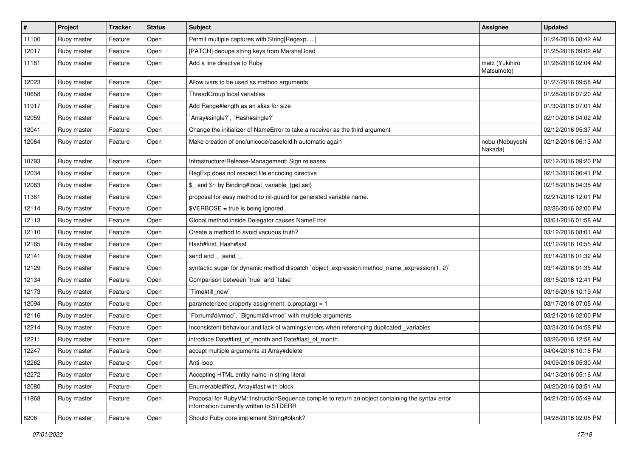| $\sharp$ | Project     | Tracker | <b>Status</b> | Subject                                                                                                                                     | <b>Assignee</b>              | <b>Updated</b>      |
|----------|-------------|---------|---------------|---------------------------------------------------------------------------------------------------------------------------------------------|------------------------------|---------------------|
| 11100    | Ruby master | Feature | Open          | Permit multiple captures with String[Regexp, ]                                                                                              |                              | 01/24/2016 08:42 AM |
| 12017    | Ruby master | Feature | Open          | [PATCH] dedupe string keys from Marshal.load                                                                                                |                              | 01/25/2016 09:02 AM |
| 11181    | Ruby master | Feature | Open          | Add a line directive to Ruby                                                                                                                | matz (Yukihiro<br>Matsumoto) | 01/26/2016 02:04 AM |
| 12023    | Ruby master | Feature | Open          | Allow ivars to be used as method arguments                                                                                                  |                              | 01/27/2016 09:58 AM |
| 10658    | Ruby master | Feature | Open          | ThreadGroup local variables                                                                                                                 |                              | 01/28/2016 07:20 AM |
| 11917    | Ruby master | Feature | Open          | Add Range#length as an alias for size                                                                                                       |                              | 01/30/2016 07:01 AM |
| 12059    | Ruby master | Feature | Open          | `Array#single?`, `Hash#single?`                                                                                                             |                              | 02/10/2016 04:02 AM |
| 12041    | Ruby master | Feature | Open          | Change the initializer of NameError to take a receiver as the third argument                                                                |                              | 02/12/2016 05:37 AM |
| 12064    | Ruby master | Feature | Open          | Make creation of enc/unicode/casefold.h automatic again                                                                                     | nobu (Nobuyoshi<br>Nakada)   | 02/12/2016 06:13 AM |
| 10793    | Ruby master | Feature | Open          | Infrastructure/Release-Management: Sign releases                                                                                            |                              | 02/12/2016 09:20 PM |
| 12034    | Ruby master | Feature | Open          | RegExp does not respect file encoding directive                                                                                             |                              | 02/13/2016 06:41 PM |
| 12083    | Ruby master | Feature | Open          | \$_ and \$~ by Binding#local_variable_{get,set}                                                                                             |                              | 02/18/2016 04:35 AM |
| 11361    | Ruby master | Feature | Open          | proposal for easy method to nil-guard for generated variable name.                                                                          |                              | 02/21/2016 12:01 PM |
| 12114    | Ruby master | Feature | Open          | \$VERBOSE = true is being ignored                                                                                                           |                              | 02/26/2016 02:00 PM |
| 12113    | Ruby master | Feature | Open          | Global method inside Delegator causes NameError                                                                                             |                              | 03/01/2016 01:58 AM |
| 12110    | Ruby master | Feature | Open          | Create a method to avoid vacuous truth?                                                                                                     |                              | 03/12/2016 08:01 AM |
| 12165    | Ruby master | Feature | Open          | Hash#first, Hash#last                                                                                                                       |                              | 03/12/2016 10:55 AM |
| 12141    | Ruby master | Feature | Open          | send and __send_                                                                                                                            |                              | 03/14/2016 01:32 AM |
| 12129    | Ruby master | Feature | Open          | syntactic sugar for dynamic method dispatch `object_expression:method_name_expression(1, 2)`                                                |                              | 03/14/2016 01:35 AM |
| 12134    | Ruby master | Feature | Open          | Comparison between 'true' and 'false'                                                                                                       |                              | 03/15/2016 12:41 PM |
| 12173    | Ruby master | Feature | Open          | Time#till_now`                                                                                                                              |                              | 03/16/2016 10:19 AM |
| 12094    | Ruby master | Feature | Open          | parameterized property assignment: $o.prop(arg) = 1$                                                                                        |                              | 03/17/2016 07:05 AM |
| 12116    | Ruby master | Feature | Open          | Fixnum#divmod`, `Bignum#divmod` with multiple arguments                                                                                     |                              | 03/21/2016 02:00 PM |
| 12214    | Ruby master | Feature | Open          | Inconsistent behaviour and lack of warnings/errors when referencing duplicated _variables                                                   |                              | 03/24/2016 04:58 PM |
| 12211    | Ruby master | Feature | Open          | introduce Date#first_of_month and Date#last_of_month                                                                                        |                              | 03/26/2016 12:58 AM |
| 12247    | Ruby master | Feature | Open          | accept multiple arguments at Array#delete                                                                                                   |                              | 04/04/2016 10:16 PM |
| 12262    | Ruby master | Feature | Open          | Anti-loop                                                                                                                                   |                              | 04/09/2016 05:30 AM |
| 12272    | Ruby master | Feature | Open          | Accepting HTML entity name in string literal                                                                                                |                              | 04/13/2016 05:16 AM |
| 12080    | Ruby master | Feature | Open          | Enumerable#first, Array#last with block                                                                                                     |                              | 04/20/2016 03:51 AM |
| 11868    | Ruby master | Feature | Open          | Proposal for RubyVM::InstructionSequence.compile to return an object containing the syntax error<br>information currently written to STDERR |                              | 04/21/2016 05:49 AM |
| 8206     | Ruby master | Feature | Open          | Should Ruby core implement String#blank?                                                                                                    |                              | 04/28/2016 02:05 PM |